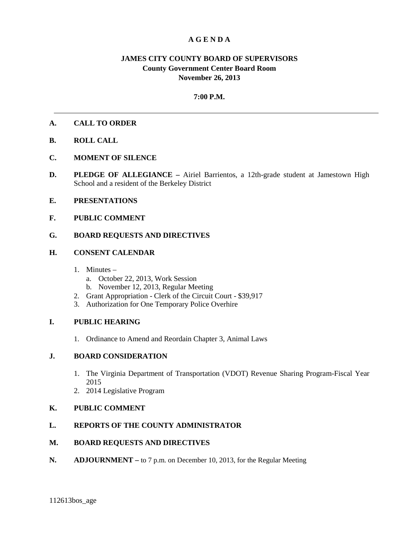# **A G E N D A**

# **JAMES CITY COUNTY BOARD OF SUPERVISORS County Government Center Board Room November 26, 2013**

## **7:00 P.M.**

## **A. CALL TO ORDER**

- **B. ROLL CALL**
- **C. MOMENT OF SILENCE**
- **D. PLEDGE OF ALLEGIANCE –** Airiel Barrientos, a 12th-grade student at Jamestown High School and a resident of the Berkeley District
- **E. PRESENTATIONS**
- **F. PUBLIC COMMENT**

## **G. BOARD REQUESTS AND DIRECTIVES**

## **H. CONSENT CALENDAR**

- 1. Minutes
	- a. October 22, 2013, Work Session
	- b. November 12, 2013, Regular Meeting
- 2. Grant Appropriation Clerk of the Circuit Court \$39,917
- 3. Authorization for One Temporary Police Overhire

#### **I. PUBLIC HEARING**

1. Ordinance to Amend and Reordain Chapter 3, Animal Laws

#### **J. BOARD CONSIDERATION**

- 1. The Virginia Department of Transportation (VDOT) Revenue Sharing Program-Fiscal Year 2015
- 2. 2014 Legislative Program

## **K. PUBLIC COMMENT**

# **L. REPORTS OF THE COUNTY ADMINISTRATOR**

#### **M. BOARD REQUESTS AND DIRECTIVES**

**N. ADJOURNMENT –** to 7 p.m. on December 10, 2013, for the Regular Meeting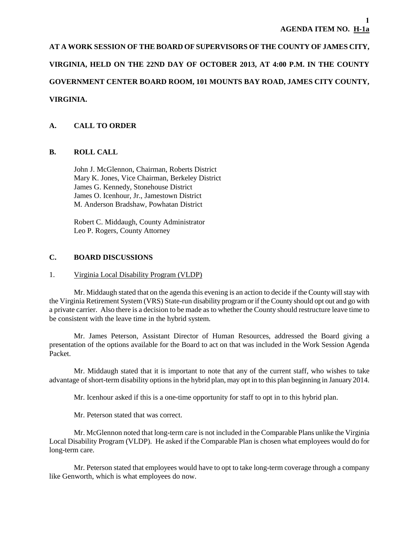# **AT A WORK SESSION OF THE BOARD OF SUPERVISORS OF THE COUNTY OF JAMES CITY,**

# **VIRGINIA, HELD ON THE 22ND DAY OF OCTOBER 2013, AT 4:00 P.M. IN THE COUNTY**

# **GOVERNMENT CENTER BOARD ROOM, 101 MOUNTS BAY ROAD, JAMES CITY COUNTY,**

# **VIRGINIA.**

# **A. CALL TO ORDER**

## **B. ROLL CALL**

John J. McGlennon, Chairman, Roberts District Mary K. Jones, Vice Chairman, Berkeley District James G. Kennedy, Stonehouse District James O. Icenhour, Jr., Jamestown District M. Anderson Bradshaw, Powhatan District

Robert C. Middaugh, County Administrator Leo P. Rogers, County Attorney

## **C. BOARD DISCUSSIONS**

# 1. Virginia Local Disability Program (VLDP)

Mr. Middaugh stated that on the agenda this evening is an action to decide if the County will stay with the Virginia Retirement System (VRS) State-run disability program or if the County should opt out and go with a private carrier. Also there is a decision to be made as to whether the County should restructure leave time to be consistent with the leave time in the hybrid system.

Mr. James Peterson, Assistant Director of Human Resources, addressed the Board giving a presentation of the options available for the Board to act on that was included in the Work Session Agenda Packet.

Mr. Middaugh stated that it is important to note that any of the current staff, who wishes to take advantage of short-term disability options in the hybrid plan, may opt in to this plan beginning in January 2014.

Mr. Icenhour asked if this is a one-time opportunity for staff to opt in to this hybrid plan.

Mr. Peterson stated that was correct.

Mr. McGlennon noted that long-term care is not included in the Comparable Plans unlike the Virginia Local Disability Program (VLDP). He asked if the Comparable Plan is chosen what employees would do for long-term care.

Mr. Peterson stated that employees would have to opt to take long-term coverage through a company like Genworth, which is what employees do now.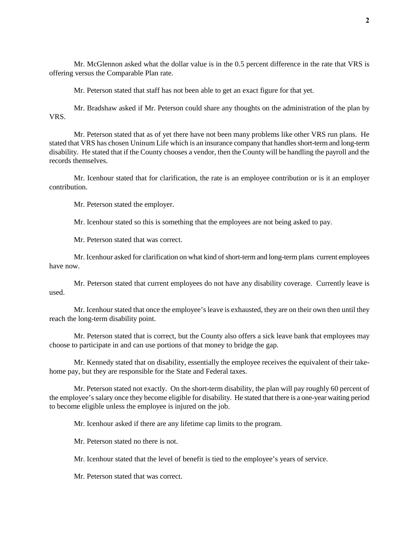Mr. McGlennon asked what the dollar value is in the 0.5 percent difference in the rate that VRS is offering versus the Comparable Plan rate.

Mr. Peterson stated that staff has not been able to get an exact figure for that yet.

Mr. Bradshaw asked if Mr. Peterson could share any thoughts on the administration of the plan by VRS.

Mr. Peterson stated that as of yet there have not been many problems like other VRS run plans. He stated that VRS has chosen Uninum Life which is an insurance company that handles short-term and long-term disability. He stated that if the County chooses a vendor, then the County will be handling the payroll and the records themselves.

Mr. Icenhour stated that for clarification, the rate is an employee contribution or is it an employer contribution.

Mr. Peterson stated the employer.

Mr. Icenhour stated so this is something that the employees are not being asked to pay.

Mr. Peterson stated that was correct.

Mr. Icenhour asked for clarification on what kind of short-term and long-term plans current employees have now.

Mr. Peterson stated that current employees do not have any disability coverage. Currently leave is used.

Mr. Icenhour stated that once the employee's leave is exhausted, they are on their own then until they reach the long-term disability point.

Mr. Peterson stated that is correct, but the County also offers a sick leave bank that employees may choose to participate in and can use portions of that money to bridge the gap.

Mr. Kennedy stated that on disability, essentially the employee receives the equivalent of their takehome pay, but they are responsible for the State and Federal taxes.

Mr. Peterson stated not exactly. On the short-term disability, the plan will pay roughly 60 percent of the employee's salary once they become eligible for disability. He stated that there is a one-year waiting period to become eligible unless the employee is injured on the job.

Mr. Icenhour asked if there are any lifetime cap limits to the program.

Mr. Peterson stated no there is not.

Mr. Icenhour stated that the level of benefit is tied to the employee's years of service.

Mr. Peterson stated that was correct.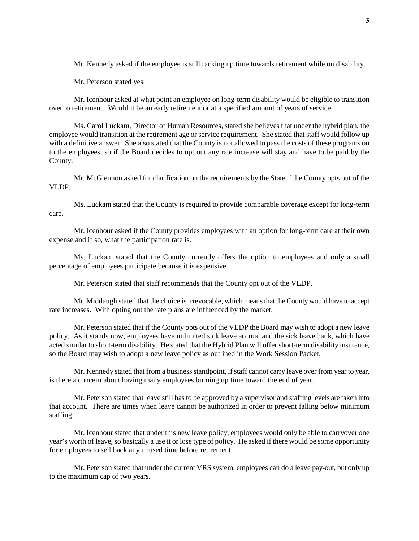Mr. Kennedy asked if the employee is still racking up time towards retirement while on disability.

Mr. Peterson stated yes.

Mr. Icenhour asked at what point an employee on long-term disability would be eligible to transition over to retirement. Would it be an early retirement or at a specified amount of years of service.

Ms. Carol Luckam, Director of Human Resources, stated she believes that under the hybrid plan, the employee would transition at the retirement age or service requirement. She stated that staff would follow up with a definitive answer. She also stated that the County is not allowed to pass the costs of these programs on to the employees, so if the Board decides to opt out any rate increase will stay and have to be paid by the County.

Mr. McGlennon asked for clarification on the requirements by the State if the County opts out of the VLDP.

Ms. Luckam stated that the County is required to provide comparable coverage except for long-term care.

Mr. Icenhour asked if the County provides employees with an option for long-term care at their own expense and if so, what the participation rate is.

Ms. Luckam stated that the County currently offers the option to employees and only a small percentage of employees participate because it is expensive.

Mr. Peterson stated that staff recommends that the County opt out of the VLDP.

Mr. Middaugh stated that the choice is irrevocable, which means that the County would have to accept rate increases. With opting out the rate plans are influenced by the market.

Mr. Peterson stated that if the County opts out of the VLDP the Board may wish to adopt a new leave policy. As it stands now, employees have unlimited sick leave accrual and the sick leave bank, which have acted similar to short-term disability. He stated that the Hybrid Plan will offer short-term disability insurance, so the Board may wish to adopt a new leave policy as outlined in the Work Session Packet.

Mr. Kennedy stated that from a business standpoint, if staff cannot carry leave over from year to year, is there a concern about having many employees burning up time toward the end of year.

Mr. Peterson stated that leave still has to be approved by a supervisor and staffing levels are taken into that account. There are times when leave cannot be authorized in order to prevent falling below minimum staffing.

Mr. Icenhour stated that under this new leave policy, employees would only be able to carryover one year's worth of leave, so basically a use it or lose type of policy. He asked if there would be some opportunity for employees to sell back any unused time before retirement.

Mr. Peterson stated that under the current VRS system, employees can do a leave pay-out, but only up to the maximum cap of two years.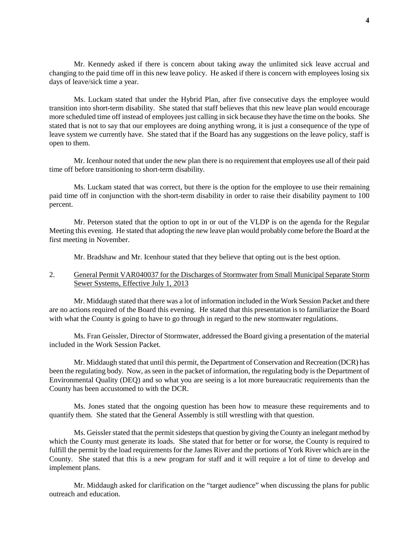Mr. Kennedy asked if there is concern about taking away the unlimited sick leave accrual and changing to the paid time off in this new leave policy. He asked if there is concern with employees losing six days of leave/sick time a year.

Ms. Luckam stated that under the Hybrid Plan, after five consecutive days the employee would transition into short-term disability. She stated that staff believes that this new leave plan would encourage more scheduled time off instead of employees just calling in sick because they have the time on the books. She stated that is not to say that our employees are doing anything wrong, it is just a consequence of the type of leave system we currently have. She stated that if the Board has any suggestions on the leave policy, staff is open to them.

Mr. Icenhour noted that under the new plan there is no requirement that employees use all of their paid time off before transitioning to short-term disability.

Ms. Luckam stated that was correct, but there is the option for the employee to use their remaining paid time off in conjunction with the short-term disability in order to raise their disability payment to 100 percent.

Mr. Peterson stated that the option to opt in or out of the VLDP is on the agenda for the Regular Meeting this evening. He stated that adopting the new leave plan would probably come before the Board at the first meeting in November.

Mr. Bradshaw and Mr. Icenhour stated that they believe that opting out is the best option.

## 2. General Permit VAR040037 for the Discharges of Stormwater from Small Municipal Separate Storm Sewer Systems, Effective July 1, 2013

Mr. Middaugh stated that there was a lot of information included in the Work Session Packet and there are no actions required of the Board this evening. He stated that this presentation is to familiarize the Board with what the County is going to have to go through in regard to the new stormwater regulations.

Ms. Fran Geissler, Director of Stormwater, addressed the Board giving a presentation of the material included in the Work Session Packet.

Mr. Middaugh stated that until this permit, the Department of Conservation and Recreation (DCR) has been the regulating body. Now, as seen in the packet of information, the regulating body is the Department of Environmental Quality (DEQ) and so what you are seeing is a lot more bureaucratic requirements than the County has been accustomed to with the DCR.

Ms. Jones stated that the ongoing question has been how to measure these requirements and to quantify them. She stated that the General Assembly is still wrestling with that question.

Ms. Geissler stated that the permit sidesteps that question by giving the County an inelegant method by which the County must generate its loads. She stated that for better or for worse, the County is required to fulfill the permit by the load requirements for the James River and the portions of York River which are in the County. She stated that this is a new program for staff and it will require a lot of time to develop and implement plans.

Mr. Middaugh asked for clarification on the "target audience" when discussing the plans for public outreach and education.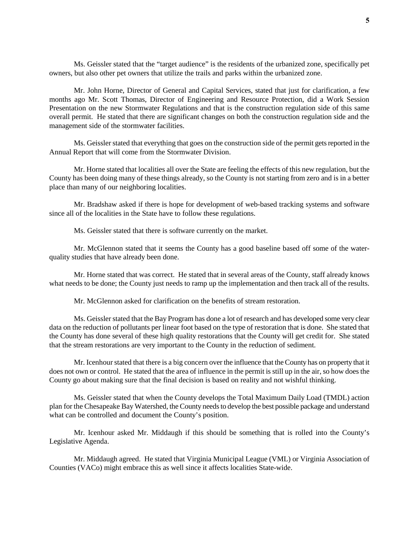Ms. Geissler stated that the "target audience" is the residents of the urbanized zone, specifically pet owners, but also other pet owners that utilize the trails and parks within the urbanized zone.

Mr. John Horne, Director of General and Capital Services, stated that just for clarification, a few months ago Mr. Scott Thomas, Director of Engineering and Resource Protection, did a Work Session Presentation on the new Stormwater Regulations and that is the construction regulation side of this same overall permit. He stated that there are significant changes on both the construction regulation side and the management side of the stormwater facilities.

Ms. Geissler stated that everything that goes on the construction side of the permit gets reported in the Annual Report that will come from the Stormwater Division.

Mr. Horne stated that localities all over the State are feeling the effects of this new regulation, but the County has been doing many of these things already, so the County is not starting from zero and is in a better place than many of our neighboring localities.

Mr. Bradshaw asked if there is hope for development of web-based tracking systems and software since all of the localities in the State have to follow these regulations.

Ms. Geissler stated that there is software currently on the market.

Mr. McGlennon stated that it seems the County has a good baseline based off some of the waterquality studies that have already been done.

Mr. Horne stated that was correct. He stated that in several areas of the County, staff already knows what needs to be done; the County just needs to ramp up the implementation and then track all of the results.

Mr. McGlennon asked for clarification on the benefits of stream restoration.

Ms. Geissler stated that the Bay Program has done a lot of research and has developed some very clear data on the reduction of pollutants per linear foot based on the type of restoration that is done. She stated that the County has done several of these high quality restorations that the County will get credit for. She stated that the stream restorations are very important to the County in the reduction of sediment.

Mr. Icenhour stated that there is a big concern over the influence that the County has on property that it does not own or control. He stated that the area of influence in the permit is still up in the air, so how does the County go about making sure that the final decision is based on reality and not wishful thinking.

Ms. Geissler stated that when the County develops the Total Maximum Daily Load (TMDL) action plan for the Chesapeake Bay Watershed, the County needs to develop the best possible package and understand what can be controlled and document the County's position.

Mr. Icenhour asked Mr. Middaugh if this should be something that is rolled into the County's Legislative Agenda.

Mr. Middaugh agreed. He stated that Virginia Municipal League (VML) or Virginia Association of Counties (VACo) might embrace this as well since it affects localities State-wide.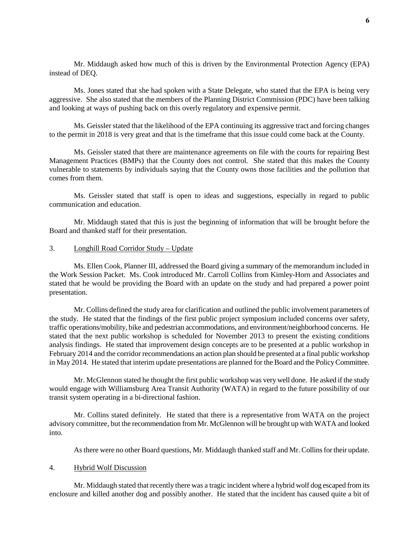Mr. Middaugh asked how much of this is driven by the Environmental Protection Agency (EPA) instead of DEQ.

Ms. Jones stated that she had spoken with a State Delegate, who stated that the EPA is being very aggressive. She also stated that the members of the Planning District Commission (PDC) have been talking and looking at ways of pushing back on this overly regulatory and expensive permit.

Ms. Geissler stated that the likelihood of the EPA continuing its aggressive tract and forcing changes to the permit in 2018 is very great and that is the timeframe that this issue could come back at the County.

Ms. Geissler stated that there are maintenance agreements on file with the courts for repairing Best Management Practices (BMPs) that the County does not control. She stated that this makes the County vulnerable to statements by individuals saying that the County owns those facilities and the pollution that comes from them.

Ms. Geissler stated that staff is open to ideas and suggestions, especially in regard to public communication and education.

Mr. Middaugh stated that this is just the beginning of information that will be brought before the Board and thanked staff for their presentation.

#### 3. Longhill Road Corridor Study – Update

Ms. Ellen Cook, Planner III, addressed the Board giving a summary of the memorandum included in the Work Session Packet. Ms. Cook introduced Mr. Carroll Collins from Kimley-Horn and Associates and stated that he would be providing the Board with an update on the study and had prepared a power point presentation.

Mr. Collins defined the study area for clarification and outlined the public involvement parameters of the study. He stated that the findings of the first public project symposium included concerns over safety, traffic operations/mobility, bike and pedestrian accommodations, and environment/neighborhood concerns. He stated that the next public workshop is scheduled for November 2013 to present the existing conditions analysis findings. He stated that improvement design concepts are to be presented at a public workshop in February 2014 and the corridor recommendations an action plan should be presented at a final public workshop in May 2014. He stated that interim update presentations are planned for the Board and the Policy Committee.

Mr. McGlennon stated he thought the first public workshop was very well done. He asked if the study would engage with Williamsburg Area Transit Authority (WATA) in regard to the future possibility of our transit system operating in a bi-directional fashion.

Mr. Collins stated definitely. He stated that there is a representative from WATA on the project advisory committee, but the recommendation from Mr. McGlennon will be brought up with WATA and looked into.

As there were no other Board questions, Mr. Middaugh thanked staff and Mr. Collins for their update.

#### 4. Hybrid Wolf Discussion

Mr. Middaugh stated that recently there was a tragic incident where a hybrid wolf dog escaped from its enclosure and killed another dog and possibly another. He stated that the incident has caused quite a bit of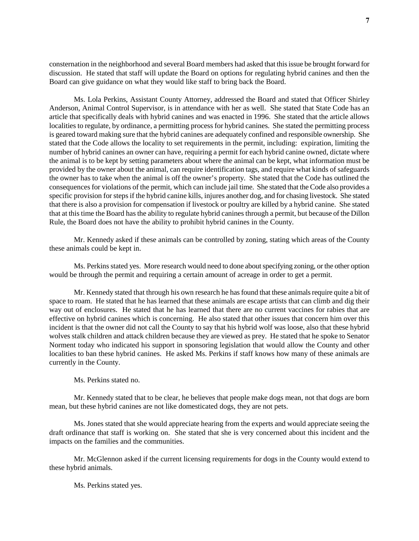consternation in the neighborhood and several Board members had asked that this issue be brought forward for discussion. He stated that staff will update the Board on options for regulating hybrid canines and then the Board can give guidance on what they would like staff to bring back the Board.

Ms. Lola Perkins, Assistant County Attorney, addressed the Board and stated that Officer Shirley Anderson, Animal Control Supervisor, is in attendance with her as well. She stated that State Code has an article that specifically deals with hybrid canines and was enacted in 1996. She stated that the article allows localities to regulate, by ordinance, a permitting process for hybrid canines. She stated the permitting process is geared toward making sure that the hybrid canines are adequately confined and responsible ownership. She stated that the Code allows the locality to set requirements in the permit, including: expiration, limiting the number of hybrid canines an owner can have, requiring a permit for each hybrid canine owned, dictate where the animal is to be kept by setting parameters about where the animal can be kept, what information must be provided by the owner about the animal, can require identification tags, and require what kinds of safeguards the owner has to take when the animal is off the owner's property. She stated that the Code has outlined the consequences for violations of the permit, which can include jail time. She stated that the Code also provides a specific provision for steps if the hybrid canine kills, injures another dog, and for chasing livestock. She stated that there is also a provision for compensation if livestock or poultry are killed by a hybrid canine. She stated that at this time the Board has the ability to regulate hybrid canines through a permit, but because of the Dillon Rule, the Board does not have the ability to prohibit hybrid canines in the County.

Mr. Kennedy asked if these animals can be controlled by zoning, stating which areas of the County these animals could be kept in.

Ms. Perkins stated yes. More research would need to done about specifying zoning, or the other option would be through the permit and requiring a certain amount of acreage in order to get a permit.

Mr. Kennedy stated that through his own research he has found that these animals require quite a bit of space to roam. He stated that he has learned that these animals are escape artists that can climb and dig their way out of enclosures. He stated that he has learned that there are no current vaccines for rabies that are effective on hybrid canines which is concerning. He also stated that other issues that concern him over this incident is that the owner did not call the County to say that his hybrid wolf was loose, also that these hybrid wolves stalk children and attack children because they are viewed as prey. He stated that he spoke to Senator Norment today who indicated his support in sponsoring legislation that would allow the County and other localities to ban these hybrid canines. He asked Ms. Perkins if staff knows how many of these animals are currently in the County.

Ms. Perkins stated no.

Mr. Kennedy stated that to be clear, he believes that people make dogs mean, not that dogs are born mean, but these hybrid canines are not like domesticated dogs, they are not pets.

Ms. Jones stated that she would appreciate hearing from the experts and would appreciate seeing the draft ordinance that staff is working on. She stated that she is very concerned about this incident and the impacts on the families and the communities.

Mr. McGlennon asked if the current licensing requirements for dogs in the County would extend to these hybrid animals.

Ms. Perkins stated yes.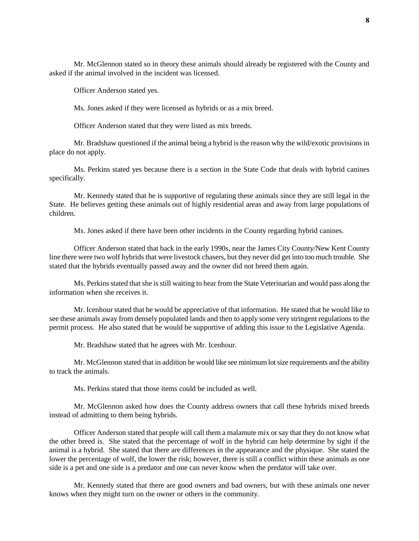Mr. McGlennon stated so in theory these animals should already be registered with the County and asked if the animal involved in the incident was licensed.

Officer Anderson stated yes.

Ms. Jones asked if they were licensed as hybrids or as a mix breed.

Officer Anderson stated that they were listed as mix breeds.

Mr. Bradshaw questioned if the animal being a hybrid is the reason why the wild/exotic provisions in place do not apply.

Ms. Perkins stated yes because there is a section in the State Code that deals with hybrid canines specifically.

Mr. Kennedy stated that he is supportive of regulating these animals since they are still legal in the State. He believes getting these animals out of highly residential areas and away from large populations of children.

Ms. Jones asked if there have been other incidents in the County regarding hybrid canines.

Officer Anderson stated that back in the early 1990s, near the James City County/New Kent County line there were two wolf hybrids that were livestock chasers, but they never did get into too much trouble. She stated that the hybrids eventually passed away and the owner did not breed them again.

Ms. Perkins stated that she is still waiting to hear from the State Veterinarian and would pass along the information when she receives it.

Mr. Icenhour stated that he would be appreciative of that information. He stated that he would like to see these animals away from densely populated lands and then to apply some very stringent regulations to the permit process. He also stated that he would be supportive of adding this issue to the Legislative Agenda.

Mr. Bradshaw stated that he agrees with Mr. Icenhour.

Mr. McGlennon stated that in addition he would like see minimum lot size requirements and the ability to track the animals.

Ms. Perkins stated that those items could be included as well.

Mr. McGlennon asked how does the County address owners that call these hybrids mixed breeds instead of admitting to them being hybrids.

Officer Anderson stated that people will call them a malamute mix or say that they do not know what the other breed is. She stated that the percentage of wolf in the hybrid can help determine by sight if the animal is a hybrid. She stated that there are differences in the appearance and the physique. She stated the lower the percentage of wolf, the lower the risk; however, there is still a conflict within these animals as one side is a pet and one side is a predator and one can never know when the predator will take over.

Mr. Kennedy stated that there are good owners and bad owners, but with these animals one never knows when they might turn on the owner or others in the community.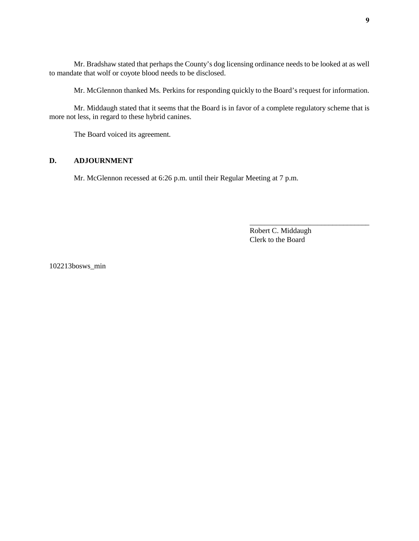Mr. Bradshaw stated that perhaps the County's dog licensing ordinance needs to be looked at as well to mandate that wolf or coyote blood needs to be disclosed.

Mr. McGlennon thanked Ms. Perkins for responding quickly to the Board's request for information.

Mr. Middaugh stated that it seems that the Board is in favor of a complete regulatory scheme that is more not less, in regard to these hybrid canines.

The Board voiced its agreement.

#### **D. ADJOURNMENT**

Mr. McGlennon recessed at 6:26 p.m. until their Regular Meeting at 7 p.m.

Robert C. Middaugh Clerk to the Board

\_\_\_\_\_\_\_\_\_\_\_\_\_\_\_\_\_\_\_\_\_\_\_\_\_\_\_\_\_\_\_\_

102213bosws\_min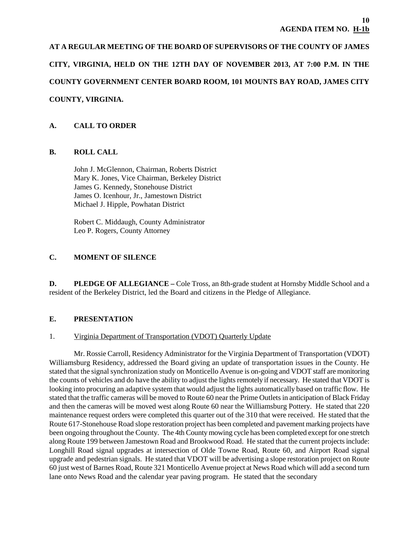**AT A REGULAR MEETING OF THE BOARD OF SUPERVISORS OF THE COUNTY OF JAMES CITY, VIRGINIA, HELD ON THE 12TH DAY OF NOVEMBER 2013, AT 7:00 P.M. IN THE COUNTY GOVERNMENT CENTER BOARD ROOM, 101 MOUNTS BAY ROAD, JAMES CITY COUNTY, VIRGINIA.**

# **A. CALL TO ORDER**

# **B. ROLL CALL**

John J. McGlennon, Chairman, Roberts District Mary K. Jones, Vice Chairman, Berkeley District James G. Kennedy, Stonehouse District James O. Icenhour, Jr., Jamestown District Michael J. Hipple, Powhatan District

Robert C. Middaugh, County Administrator Leo P. Rogers, County Attorney

# **C. MOMENT OF SILENCE**

**D. PLEDGE OF ALLEGIANCE** – Cole Tross, an 8th-grade student at Hornsby Middle School and a resident of the Berkeley District, led the Board and citizens in the Pledge of Allegiance.

# **E. PRESENTATION**

## 1. Virginia Department of Transportation (VDOT) Quarterly Update

Mr. Rossie Carroll, Residency Administrator for the Virginia Department of Transportation (VDOT) Williamsburg Residency, addressed the Board giving an update of transportation issues in the County. He stated that the signal synchronization study on Monticello Avenue is on-going and VDOT staff are monitoring the counts of vehicles and do have the ability to adjust the lights remotely if necessary. He stated that VDOT is looking into procuring an adaptive system that would adjust the lights automatically based on traffic flow. He stated that the traffic cameras will be moved to Route 60 near the Prime Outlets in anticipation of Black Friday and then the cameras will be moved west along Route 60 near the Williamsburg Pottery. He stated that 220 maintenance request orders were completed this quarter out of the 310 that were received. He stated that the Route 617-Stonehouse Road slope restoration project has been completed and pavement marking projects have been ongoing throughout the County. The 4th County mowing cycle has been completed except for one stretch along Route 199 between Jamestown Road and Brookwood Road. He stated that the current projects include: Longhill Road signal upgrades at intersection of Olde Towne Road, Route 60, and Airport Road signal upgrade and pedestrian signals. He stated that VDOT will be advertising a slope restoration project on Route 60 just west of Barnes Road, Route 321 Monticello Avenue project at News Road which will add a second turn lane onto News Road and the calendar year paving program. He stated that the secondary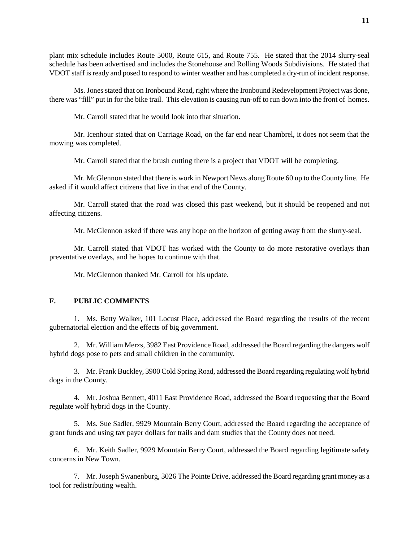plant mix schedule includes Route 5000, Route 615, and Route 755. He stated that the 2014 slurry-seal schedule has been advertised and includes the Stonehouse and Rolling Woods Subdivisions. He stated that VDOT staff is ready and posed to respond to winter weather and has completed a dry-run of incident response.

Ms. Jones stated that on Ironbound Road, right where the Ironbound Redevelopment Project was done, there was "fill" put in for the bike trail. This elevation is causing run-off to run down into the front of homes.

Mr. Carroll stated that he would look into that situation.

Mr. Icenhour stated that on Carriage Road, on the far end near Chambrel, it does not seem that the mowing was completed.

Mr. Carroll stated that the brush cutting there is a project that VDOT will be completing.

Mr. McGlennon stated that there is work in Newport News along Route 60 up to the County line. He asked if it would affect citizens that live in that end of the County.

Mr. Carroll stated that the road was closed this past weekend, but it should be reopened and not affecting citizens.

Mr. McGlennon asked if there was any hope on the horizon of getting away from the slurry-seal.

Mr. Carroll stated that VDOT has worked with the County to do more restorative overlays than preventative overlays, and he hopes to continue with that.

Mr. McGlennon thanked Mr. Carroll for his update.

#### **F. PUBLIC COMMENTS**

1. Ms. Betty Walker, 101 Locust Place, addressed the Board regarding the results of the recent gubernatorial election and the effects of big government.

2. Mr. William Merzs, 3982 East Providence Road, addressed the Board regarding the dangers wolf hybrid dogs pose to pets and small children in the community.

3. Mr. Frank Buckley, 3900 Cold Spring Road, addressed the Board regarding regulating wolf hybrid dogs in the County.

4. Mr. Joshua Bennett, 4011 East Providence Road, addressed the Board requesting that the Board regulate wolf hybrid dogs in the County.

5. Ms. Sue Sadler, 9929 Mountain Berry Court, addressed the Board regarding the acceptance of grant funds and using tax payer dollars for trails and dam studies that the County does not need.

6. Mr. Keith Sadler, 9929 Mountain Berry Court, addressed the Board regarding legitimate safety concerns in New Town.

7. Mr. Joseph Swanenburg, 3026 The Pointe Drive, addressed the Board regarding grant money as a tool for redistributing wealth.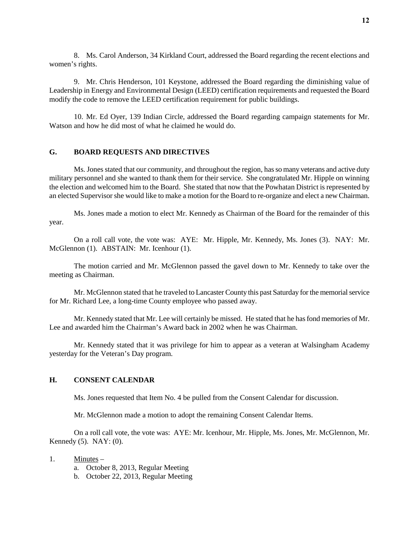8. Ms. Carol Anderson, 34 Kirkland Court, addressed the Board regarding the recent elections and women's rights.

9. Mr. Chris Henderson, 101 Keystone, addressed the Board regarding the diminishing value of Leadership in Energy and Environmental Design (LEED) certification requirements and requested the Board modify the code to remove the LEED certification requirement for public buildings.

10. Mr. Ed Oyer, 139 Indian Circle, addressed the Board regarding campaign statements for Mr. Watson and how he did most of what he claimed he would do.

## **G. BOARD REQUESTS AND DIRECTIVES**

Ms. Jones stated that our community, and throughout the region, has so many veterans and active duty military personnel and she wanted to thank them for their service. She congratulated Mr. Hipple on winning the election and welcomed him to the Board. She stated that now that the Powhatan District is represented by an elected Supervisor she would like to make a motion for the Board to re-organize and elect a new Chairman.

Ms. Jones made a motion to elect Mr. Kennedy as Chairman of the Board for the remainder of this year.

On a roll call vote, the vote was: AYE: Mr. Hipple, Mr. Kennedy, Ms. Jones (3). NAY: Mr. McGlennon (1). ABSTAIN: Mr. Icenhour (1).

The motion carried and Mr. McGlennon passed the gavel down to Mr. Kennedy to take over the meeting as Chairman.

Mr. McGlennon stated that he traveled to Lancaster County this past Saturday for the memorial service for Mr. Richard Lee, a long-time County employee who passed away.

Mr. Kennedy stated that Mr. Lee will certainly be missed. He stated that he has fond memories of Mr. Lee and awarded him the Chairman's Award back in 2002 when he was Chairman.

Mr. Kennedy stated that it was privilege for him to appear as a veteran at Walsingham Academy yesterday for the Veteran's Day program.

## **H. CONSENT CALENDAR**

Ms. Jones requested that Item No. 4 be pulled from the Consent Calendar for discussion.

Mr. McGlennon made a motion to adopt the remaining Consent Calendar Items.

On a roll call vote, the vote was: AYE: Mr. Icenhour, Mr. Hipple, Ms. Jones, Mr. McGlennon, Mr. Kennedy (5). NAY: (0).

- 1. Minutes
	- a. October 8, 2013, Regular Meeting
	- b. October 22, 2013, Regular Meeting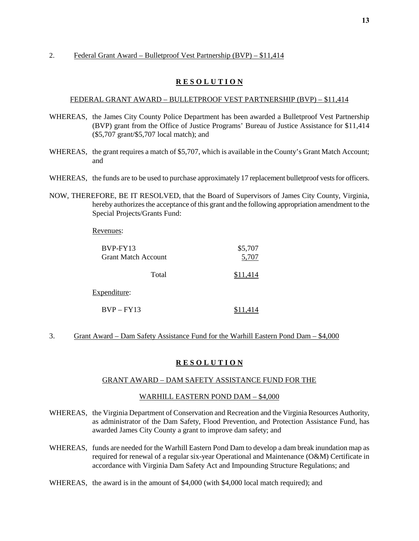#### 2. Federal Grant Award – Bulletproof Vest Partnership (BVP) – \$11,414

#### **R E S O L U T I O N**

#### FEDERAL GRANT AWARD – BULLETPROOF VEST PARTNERSHIP (BVP) – \$11,414

- WHEREAS, the James City County Police Department has been awarded a Bulletproof Vest Partnership (BVP) grant from the Office of Justice Programs' Bureau of Justice Assistance for \$11,414 (\$5,707 grant/\$5,707 local match); and
- WHEREAS, the grant requires a match of \$5,707, which is available in the County's Grant Match Account; and
- WHEREAS, the funds are to be used to purchase approximately 17 replacement bulletproof vests for officers.
- NOW, THEREFORE, BE IT RESOLVED, that the Board of Supervisors of James City County, Virginia, hereby authorizes the acceptance of this grant and the following appropriation amendment to the Special Projects/Grants Fund:

Revenues:

| BVP-FY13                   | \$5,707  |
|----------------------------|----------|
| <b>Grant Match Account</b> | 5,707    |
| Total                      | \$11.414 |
| Expenditure:               |          |
| $BVP - FY13$               |          |

3. Grant Award – Dam Safety Assistance Fund for the Warhill Eastern Pond Dam – \$4,000

#### **R E S O L U T I O N**

## GRANT AWARD – DAM SAFETY ASSISTANCE FUND FOR THE

#### WARHILL EASTERN POND DAM – \$4,000

- WHEREAS, the Virginia Department of Conservation and Recreation and the Virginia Resources Authority, as administrator of the Dam Safety, Flood Prevention, and Protection Assistance Fund, has awarded James City County a grant to improve dam safety; and
- WHEREAS, funds are needed for the Warhill Eastern Pond Dam to develop a dam break inundation map as required for renewal of a regular six-year Operational and Maintenance (O&M) Certificate in accordance with Virginia Dam Safety Act and Impounding Structure Regulations; and
- WHEREAS, the award is in the amount of \$4,000 (with \$4,000 local match required); and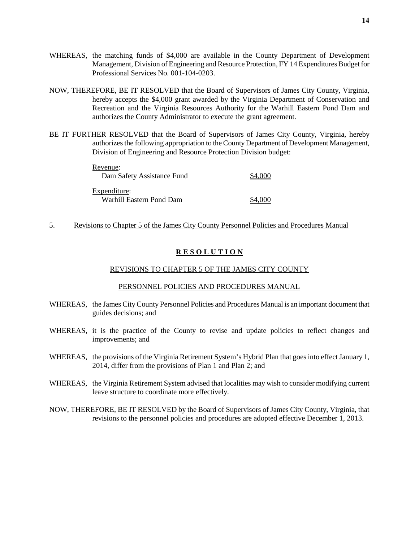- WHEREAS, the matching funds of \$4,000 are available in the County Department of Development Management, Division of Engineering and Resource Protection, FY 14 Expenditures Budget for Professional Services No. 001-104-0203.
- NOW, THEREFORE, BE IT RESOLVED that the Board of Supervisors of James City County, Virginia, hereby accepts the \$4,000 grant awarded by the Virginia Department of Conservation and Recreation and the Virginia Resources Authority for the Warhill Eastern Pond Dam and authorizes the County Administrator to execute the grant agreement.
- BE IT FURTHER RESOLVED that the Board of Supervisors of James City County, Virginia, hereby authorizes the following appropriation to the County Department of Development Management, Division of Engineering and Resource Protection Division budget:

| Revenue:                   |         |
|----------------------------|---------|
| Dam Safety Assistance Fund | \$4,000 |
| Expenditure:               |         |
| Warhill Eastern Pond Dam   | \$4,000 |

5. Revisions to Chapter 5 of the James City County Personnel Policies and Procedures Manual

#### **R E S O L U T I O N**

#### REVISIONS TO CHAPTER 5 OF THE JAMES CITY COUNTY

#### PERSONNEL POLICIES AND PROCEDURES MANUAL

- WHEREAS, the James City County Personnel Policies and Procedures Manual is an important document that guides decisions; and
- WHEREAS, it is the practice of the County to revise and update policies to reflect changes and improvements; and
- WHEREAS, the provisions of the Virginia Retirement System's Hybrid Plan that goes into effect January 1, 2014, differ from the provisions of Plan 1 and Plan 2; and
- WHEREAS, the Virginia Retirement System advised that localities may wish to consider modifying current leave structure to coordinate more effectively.
- NOW, THEREFORE, BE IT RESOLVED by the Board of Supervisors of James City County, Virginia, that revisions to the personnel policies and procedures are adopted effective December 1, 2013.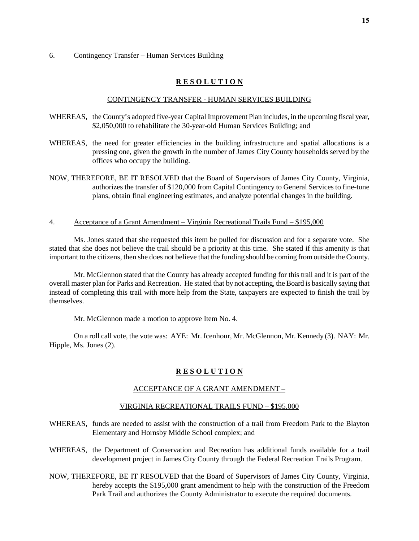#### 6. Contingency Transfer – Human Services Building

#### **R E S O L U T I O N**

#### CONTINGENCY TRANSFER - HUMAN SERVICES BUILDING

- WHEREAS, the County's adopted five-year Capital Improvement Plan includes, in the upcoming fiscal year, \$2,050,000 to rehabilitate the 30-year-old Human Services Building; and
- WHEREAS, the need for greater efficiencies in the building infrastructure and spatial allocations is a pressing one, given the growth in the number of James City County households served by the offices who occupy the building.
- NOW, THEREFORE, BE IT RESOLVED that the Board of Supervisors of James City County, Virginia, authorizes the transfer of \$120,000 from Capital Contingency to General Services to fine-tune plans, obtain final engineering estimates, and analyze potential changes in the building.
- 4. Acceptance of a Grant Amendment Virginia Recreational Trails Fund \$195,000

Ms. Jones stated that she requested this item be pulled for discussion and for a separate vote. She stated that she does not believe the trail should be a priority at this time. She stated if this amenity is that important to the citizens, then she does not believe that the funding should be coming from outside the County.

Mr. McGlennon stated that the County has already accepted funding for this trail and it is part of the overall master plan for Parks and Recreation. He stated that by not accepting, the Board is basically saying that instead of completing this trail with more help from the State, taxpayers are expected to finish the trail by themselves.

Mr. McGlennon made a motion to approve Item No. 4.

On a roll call vote, the vote was: AYE: Mr. Icenhour, Mr. McGlennon, Mr. Kennedy (3). NAY: Mr. Hipple, Ms. Jones (2).

## **R E S O L U T I O N**

#### ACCEPTANCE OF A GRANT AMENDMENT –

#### VIRGINIA RECREATIONAL TRAILS FUND – \$195,000

- WHEREAS, funds are needed to assist with the construction of a trail from Freedom Park to the Blayton Elementary and Hornsby Middle School complex; and
- WHEREAS, the Department of Conservation and Recreation has additional funds available for a trail development project in James City County through the Federal Recreation Trails Program.
- NOW, THEREFORE, BE IT RESOLVED that the Board of Supervisors of James City County, Virginia, hereby accepts the \$195,000 grant amendment to help with the construction of the Freedom Park Trail and authorizes the County Administrator to execute the required documents.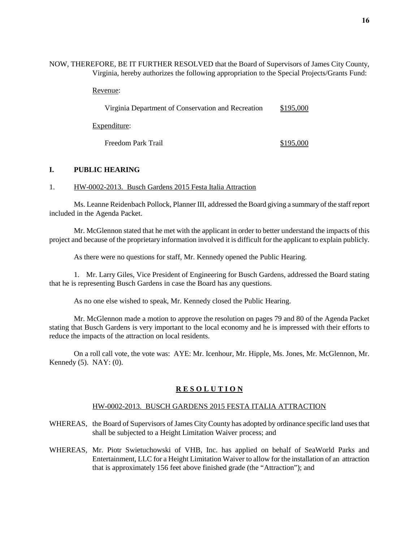NOW, THEREFORE, BE IT FURTHER RESOLVED that the Board of Supervisors of James City County, Virginia, hereby authorizes the following appropriation to the Special Projects/Grants Fund:

Revenue:

| Virginia Department of Conservation and Recreation | \$195,000 |
|----------------------------------------------------|-----------|
| Expenditure:                                       |           |
| Freedom Park Trail                                 | \$195,000 |

#### **I. PUBLIC HEARING**

#### 1. HW-0002-2013. Busch Gardens 2015 Festa Italia Attraction

Ms. Leanne Reidenbach Pollock, Planner III, addressed the Board giving a summary of the staff report included in the Agenda Packet.

Mr. McGlennon stated that he met with the applicant in order to better understand the impacts of this project and because of the proprietary information involved it is difficult for the applicant to explain publicly.

As there were no questions for staff, Mr. Kennedy opened the Public Hearing.

1. Mr. Larry Giles, Vice President of Engineering for Busch Gardens, addressed the Board stating that he is representing Busch Gardens in case the Board has any questions.

As no one else wished to speak, Mr. Kennedy closed the Public Hearing.

Mr. McGlennon made a motion to approve the resolution on pages 79 and 80 of the Agenda Packet stating that Busch Gardens is very important to the local economy and he is impressed with their efforts to reduce the impacts of the attraction on local residents.

On a roll call vote, the vote was: AYE: Mr. Icenhour, Mr. Hipple, Ms. Jones, Mr. McGlennon, Mr. Kennedy (5). NAY: (0).

## **R E S O L U T I O N**

#### HW-0002-2013. BUSCH GARDENS 2015 FESTA ITALIA ATTRACTION

- WHEREAS, the Board of Supervisors of James City County has adopted by ordinance specific land uses that shall be subjected to a Height Limitation Waiver process; and
- WHEREAS, Mr. Piotr Swietuchowski of VHB, Inc. has applied on behalf of SeaWorld Parks and Entertainment, LLC for a Height Limitation Waiver to allow for the installation of an attraction that is approximately 156 feet above finished grade (the "Attraction"); and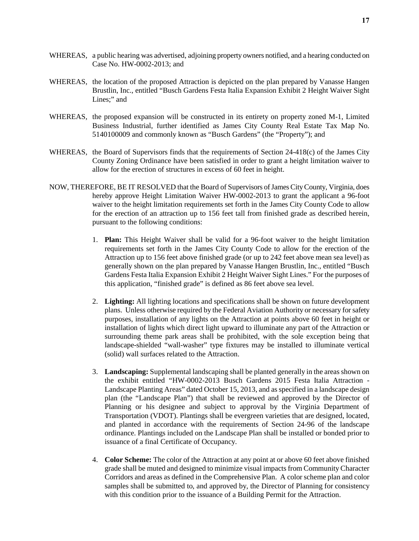- WHEREAS, a public hearing was advertised, adjoining property owners notified, and a hearing conducted on Case No. HW-0002-2013; and
- WHEREAS, the location of the proposed Attraction is depicted on the plan prepared by Vanasse Hangen Brustlin, Inc., entitled "Busch Gardens Festa Italia Expansion Exhibit 2 Height Waiver Sight Lines;" and
- WHEREAS, the proposed expansion will be constructed in its entirety on property zoned M-1, Limited Business Industrial, further identified as James City County Real Estate Tax Map No. 5140100009 and commonly known as "Busch Gardens" (the "Property"); and
- WHEREAS, the Board of Supervisors finds that the requirements of Section 24-418(c) of the James City County Zoning Ordinance have been satisfied in order to grant a height limitation waiver to allow for the erection of structures in excess of 60 feet in height.
- NOW, THEREFORE, BE IT RESOLVED that the Board of Supervisors of James City County, Virginia, does hereby approve Height Limitation Waiver HW-0002-2013 to grant the applicant a 96-foot waiver to the height limitation requirements set forth in the James City County Code to allow for the erection of an attraction up to 156 feet tall from finished grade as described herein, pursuant to the following conditions:
	- 1. **Plan:** This Height Waiver shall be valid for a 96-foot waiver to the height limitation requirements set forth in the James City County Code to allow for the erection of the Attraction up to 156 feet above finished grade (or up to 242 feet above mean sea level) as generally shown on the plan prepared by Vanasse Hangen Brustlin, Inc., entitled "Busch Gardens Festa Italia Expansion Exhibit 2 Height Waiver Sight Lines." For the purposes of this application, "finished grade" is defined as 86 feet above sea level.
	- 2. **Lighting:** All lighting locations and specifications shall be shown on future development plans. Unless otherwise required by the Federal Aviation Authority or necessary for safety purposes, installation of any lights on the Attraction at points above 60 feet in height or installation of lights which direct light upward to illuminate any part of the Attraction or surrounding theme park areas shall be prohibited, with the sole exception being that landscape-shielded "wall-washer" type fixtures may be installed to illuminate vertical (solid) wall surfaces related to the Attraction.
	- 3. **Landscaping:** Supplemental landscaping shall be planted generally in the areas shown on the exhibit entitled "HW-0002-2013 Busch Gardens 2015 Festa Italia Attraction - Landscape Planting Areas" dated October 15, 2013, and as specified in a landscape design plan (the "Landscape Plan") that shall be reviewed and approved by the Director of Planning or his designee and subject to approval by the Virginia Department of Transportation (VDOT). Plantings shall be evergreen varieties that are designed, located, and planted in accordance with the requirements of Section 24-96 of the landscape ordinance. Plantings included on the Landscape Plan shall be installed or bonded prior to issuance of a final Certificate of Occupancy.
	- 4. **Color Scheme:** The color of the Attraction at any point at or above 60 feet above finished grade shall be muted and designed to minimize visual impacts from Community Character Corridors and areas as defined in the Comprehensive Plan. A color scheme plan and color samples shall be submitted to, and approved by, the Director of Planning for consistency with this condition prior to the issuance of a Building Permit for the Attraction.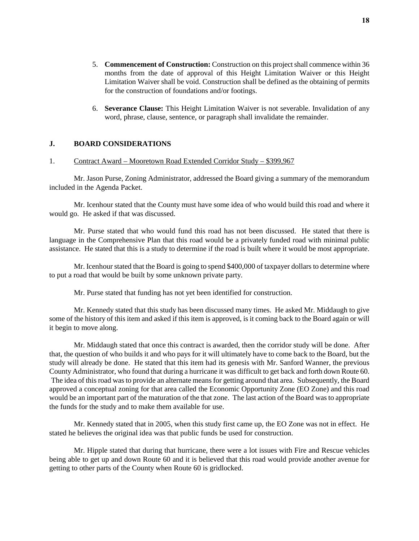**18**

- 5. **Commencement of Construction:** Construction on this project shall commence within 36 months from the date of approval of this Height Limitation Waiver or this Height Limitation Waiver shall be void. Construction shall be defined as the obtaining of permits for the construction of foundations and/or footings.
- 6. **Severance Clause:** This Height Limitation Waiver is not severable. Invalidation of any word, phrase, clause, sentence, or paragraph shall invalidate the remainder.

## **J. BOARD CONSIDERATIONS**

#### 1. Contract Award – Mooretown Road Extended Corridor Study – \$399,967

Mr. Jason Purse, Zoning Administrator, addressed the Board giving a summary of the memorandum included in the Agenda Packet.

Mr. Icenhour stated that the County must have some idea of who would build this road and where it would go. He asked if that was discussed.

Mr. Purse stated that who would fund this road has not been discussed. He stated that there is language in the Comprehensive Plan that this road would be a privately funded road with minimal public assistance. He stated that this is a study to determine if the road is built where it would be most appropriate.

Mr. Icenhour stated that the Board is going to spend \$400,000 of taxpayer dollars to determine where to put a road that would be built by some unknown private party.

Mr. Purse stated that funding has not yet been identified for construction.

Mr. Kennedy stated that this study has been discussed many times. He asked Mr. Middaugh to give some of the history of this item and asked if this item is approved, is it coming back to the Board again or will it begin to move along.

Mr. Middaugh stated that once this contract is awarded, then the corridor study will be done. After that, the question of who builds it and who pays for it will ultimately have to come back to the Board, but the study will already be done. He stated that this item had its genesis with Mr. Sanford Wanner, the previous County Administrator, who found that during a hurricane it was difficult to get back and forth down Route 60. The idea of this road was to provide an alternate means for getting around that area. Subsequently, the Board approved a conceptual zoning for that area called the Economic Opportunity Zone (EO Zone) and this road would be an important part of the maturation of the that zone. The last action of the Board was to appropriate the funds for the study and to make them available for use.

Mr. Kennedy stated that in 2005, when this study first came up, the EO Zone was not in effect. He stated he believes the original idea was that public funds be used for construction.

Mr. Hipple stated that during that hurricane, there were a lot issues with Fire and Rescue vehicles being able to get up and down Route 60 and it is believed that this road would provide another avenue for getting to other parts of the County when Route 60 is gridlocked.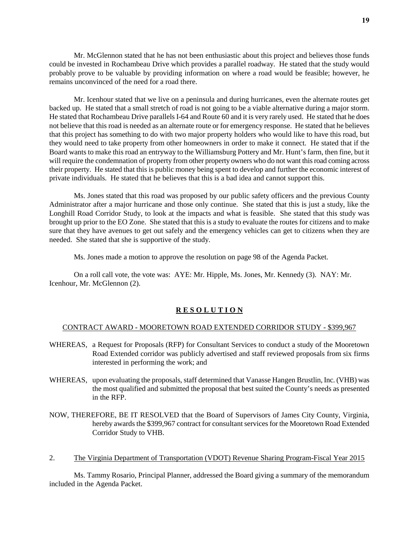Mr. McGlennon stated that he has not been enthusiastic about this project and believes those funds could be invested in Rochambeau Drive which provides a parallel roadway. He stated that the study would probably prove to be valuable by providing information on where a road would be feasible; however, he remains unconvinced of the need for a road there.

Mr. Icenhour stated that we live on a peninsula and during hurricanes, even the alternate routes get backed up. He stated that a small stretch of road is not going to be a viable alternative during a major storm. He stated that Rochambeau Drive parallels I-64 and Route 60 and it is very rarely used. He stated that he does not believe that this road is needed as an alternate route or for emergency response. He stated that he believes that this project has something to do with two major property holders who would like to have this road, but they would need to take property from other homeowners in order to make it connect. He stated that if the Board wants to make this road an entryway to the Williamsburg Pottery and Mr. Hunt's farm, then fine, but it will require the condemnation of property from other property owners who do not want this road coming across their property. He stated that this is public money being spent to develop and further the economic interest of private individuals. He stated that he believes that this is a bad idea and cannot support this.

Ms. Jones stated that this road was proposed by our public safety officers and the previous County Administrator after a major hurricane and those only continue. She stated that this is just a study, like the Longhill Road Corridor Study, to look at the impacts and what is feasible. She stated that this study was brought up prior to the EO Zone. She stated that this is a study to evaluate the routes for citizens and to make sure that they have avenues to get out safely and the emergency vehicles can get to citizens when they are needed. She stated that she is supportive of the study.

Ms. Jones made a motion to approve the resolution on page 98 of the Agenda Packet.

On a roll call vote, the vote was: AYE: Mr. Hipple, Ms. Jones, Mr. Kennedy (3). NAY: Mr. Icenhour, Mr. McGlennon (2).

#### **R E S O L U T I O N**

#### CONTRACT AWARD - MOORETOWN ROAD EXTENDED CORRIDOR STUDY - \$399,967

- WHEREAS, a Request for Proposals (RFP) for Consultant Services to conduct a study of the Mooretown Road Extended corridor was publicly advertised and staff reviewed proposals from six firms interested in performing the work; and
- WHEREAS, upon evaluating the proposals, staff determined that Vanasse Hangen Brustlin, Inc. (VHB) was the most qualified and submitted the proposal that best suited the County's needs as presented in the RFP.
- NOW, THEREFORE, BE IT RESOLVED that the Board of Supervisors of James City County, Virginia, hereby awards the \$399,967 contract for consultant services for the Mooretown Road Extended Corridor Study to VHB.
- 2. The Virginia Department of Transportation (VDOT) Revenue Sharing Program-Fiscal Year 2015

Ms. Tammy Rosario, Principal Planner, addressed the Board giving a summary of the memorandum included in the Agenda Packet.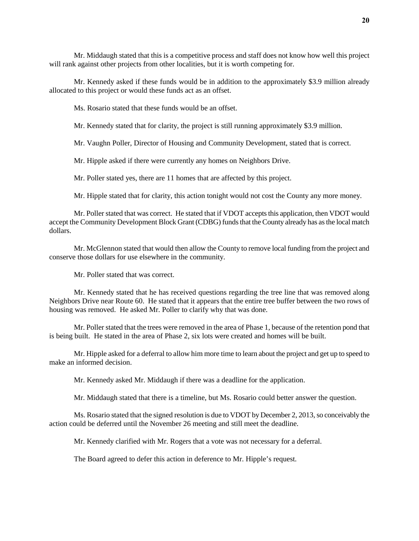Mr. Middaugh stated that this is a competitive process and staff does not know how well this project will rank against other projects from other localities, but it is worth competing for.

Mr. Kennedy asked if these funds would be in addition to the approximately \$3.9 million already allocated to this project or would these funds act as an offset.

Ms. Rosario stated that these funds would be an offset.

Mr. Kennedy stated that for clarity, the project is still running approximately \$3.9 million.

Mr. Vaughn Poller, Director of Housing and Community Development, stated that is correct.

Mr. Hipple asked if there were currently any homes on Neighbors Drive.

Mr. Poller stated yes, there are 11 homes that are affected by this project.

Mr. Hipple stated that for clarity, this action tonight would not cost the County any more money.

Mr. Poller stated that was correct. He stated that if VDOT accepts this application, then VDOT would accept the Community Development Block Grant (CDBG) funds that the County already has as the local match dollars.

Mr. McGlennon stated that would then allow the County to remove local funding from the project and conserve those dollars for use elsewhere in the community.

Mr. Poller stated that was correct.

Mr. Kennedy stated that he has received questions regarding the tree line that was removed along Neighbors Drive near Route 60. He stated that it appears that the entire tree buffer between the two rows of housing was removed. He asked Mr. Poller to clarify why that was done.

Mr. Poller stated that the trees were removed in the area of Phase 1, because of the retention pond that is being built. He stated in the area of Phase 2, six lots were created and homes will be built.

Mr. Hipple asked for a deferral to allow him more time to learn about the project and get up to speed to make an informed decision.

Mr. Kennedy asked Mr. Middaugh if there was a deadline for the application.

Mr. Middaugh stated that there is a timeline, but Ms. Rosario could better answer the question.

Ms. Rosario stated that the signed resolution is due to VDOT by December 2, 2013, so conceivably the action could be deferred until the November 26 meeting and still meet the deadline.

Mr. Kennedy clarified with Mr. Rogers that a vote was not necessary for a deferral.

The Board agreed to defer this action in deference to Mr. Hipple's request.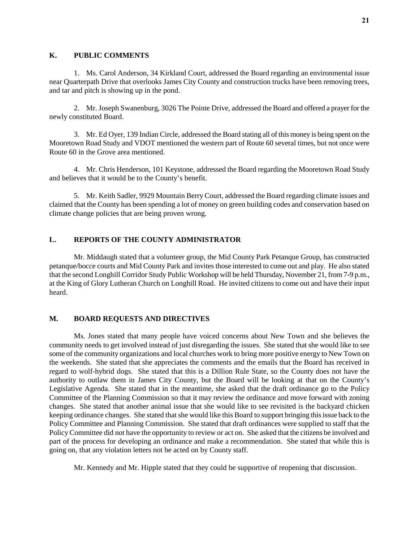#### **K. PUBLIC COMMENTS**

1. Ms. Carol Anderson, 34 Kirkland Court, addressed the Board regarding an environmental issue near Quarterpath Drive that overlooks James City County and construction trucks have been removing trees, and tar and pitch is showing up in the pond.

2. Mr. Joseph Swanenburg, 3026 The Pointe Drive, addressed the Board and offered a prayer for the newly constituted Board.

3. Mr. Ed Oyer, 139 Indian Circle, addressed the Board stating all of this money is being spent on the Mooretown Road Study and VDOT mentioned the western part of Route 60 several times, but not once were Route 60 in the Grove area mentioned.

4. Mr. Chris Henderson, 101 Keystone, addressed the Board regarding the Mooretown Road Study and believes that it would be to the County's benefit.

5. Mr. Keith Sadler, 9929 Mountain Berry Court, addressed the Board regarding climate issues and claimed that the County has been spending a lot of money on green building codes and conservation based on climate change policies that are being proven wrong.

## **L. REPORTS OF THE COUNTY ADMINISTRATOR**

Mr. Middaugh stated that a volunteer group, the Mid County Park Petanque Group, has constructed petanque/bocce courts and Mid County Park and invites those interested to come out and play. He also stated that the second Longhill Corridor Study Public Workshop will be held Thursday, November 21, from 7-9 p.m., at the King of Glory Lutheran Church on Longhill Road. He invited citizens to come out and have their input heard.

#### **M. BOARD REQUESTS AND DIRECTIVES**

Ms. Jones stated that many people have voiced concerns about New Town and she believes the community needs to get involved instead of just disregarding the issues. She stated that she would like to see some of the community organizations and local churches work to bring more positive energy to New Town on the weekends. She stated that she appreciates the comments and the emails that the Board has received in regard to wolf-hybrid dogs. She stated that this is a Dillion Rule State, so the County does not have the authority to outlaw them in James City County, but the Board will be looking at that on the County's Legislative Agenda. She stated that in the meantime, she asked that the draft ordinance go to the Policy Committee of the Planning Commission so that it may review the ordinance and move forward with zoning changes. She stated that another animal issue that she would like to see revisited is the backyard chicken keeping ordinance changes. She stated that she would like this Board to support bringing this issue back to the Policy Committee and Planning Commission. She stated that draft ordinances were supplied to staff that the Policy Committee did not have the opportunity to review or act on. She asked that the citizens be involved and part of the process for developing an ordinance and make a recommendation. She stated that while this is going on, that any violation letters not be acted on by County staff.

Mr. Kennedy and Mr. Hipple stated that they could be supportive of reopening that discussion.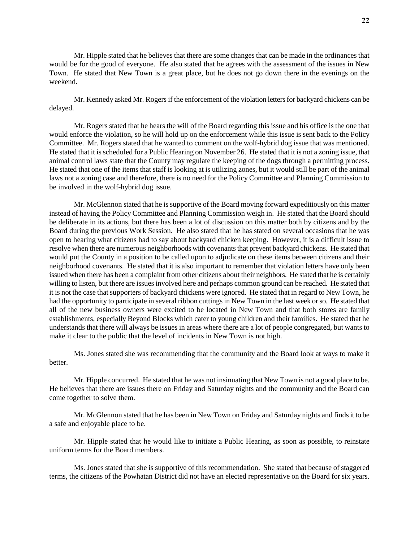Mr. Hipple stated that he believes that there are some changes that can be made in the ordinances that would be for the good of everyone. He also stated that he agrees with the assessment of the issues in New Town. He stated that New Town is a great place, but he does not go down there in the evenings on the weekend.

Mr. Kennedy asked Mr. Rogers if the enforcement of the violation letters for backyard chickens can be delayed.

Mr. Rogers stated that he hears the will of the Board regarding this issue and his office is the one that would enforce the violation, so he will hold up on the enforcement while this issue is sent back to the Policy Committee. Mr. Rogers stated that he wanted to comment on the wolf-hybrid dog issue that was mentioned. He stated that it is scheduled for a Public Hearing on November 26. He stated that it is not a zoning issue, that animal control laws state that the County may regulate the keeping of the dogs through a permitting process. He stated that one of the items that staff is looking at is utilizing zones, but it would still be part of the animal laws not a zoning case and therefore, there is no need for the Policy Committee and Planning Commission to be involved in the wolf-hybrid dog issue.

Mr. McGlennon stated that he is supportive of the Board moving forward expeditiously on this matter instead of having the Policy Committee and Planning Commission weigh in. He stated that the Board should be deliberate in its actions, but there has been a lot of discussion on this matter both by citizens and by the Board during the previous Work Session. He also stated that he has stated on several occasions that he was open to hearing what citizens had to say about backyard chicken keeping. However, it is a difficult issue to resolve when there are numerous neighborhoods with covenants that prevent backyard chickens. He stated that would put the County in a position to be called upon to adjudicate on these items between citizens and their neighborhood covenants. He stated that it is also important to remember that violation letters have only been issued when there has been a complaint from other citizens about their neighbors. He stated that he is certainly willing to listen, but there are issues involved here and perhaps common ground can be reached. He stated that it is not the case that supporters of backyard chickens were ignored. He stated that in regard to New Town, he had the opportunity to participate in several ribbon cuttings in New Town in the last week or so. He stated that all of the new business owners were excited to be located in New Town and that both stores are family establishments, especially Beyond Blocks which cater to young children and their families. He stated that he understands that there will always be issues in areas where there are a lot of people congregated, but wants to make it clear to the public that the level of incidents in New Town is not high.

Ms. Jones stated she was recommending that the community and the Board look at ways to make it better.

Mr. Hipple concurred. He stated that he was not insinuating that New Town is not a good place to be. He believes that there are issues there on Friday and Saturday nights and the community and the Board can come together to solve them.

Mr. McGlennon stated that he has been in New Town on Friday and Saturday nights and finds it to be a safe and enjoyable place to be.

Mr. Hipple stated that he would like to initiate a Public Hearing, as soon as possible, to reinstate uniform terms for the Board members.

Ms. Jones stated that she is supportive of this recommendation. She stated that because of staggered terms, the citizens of the Powhatan District did not have an elected representative on the Board for six years.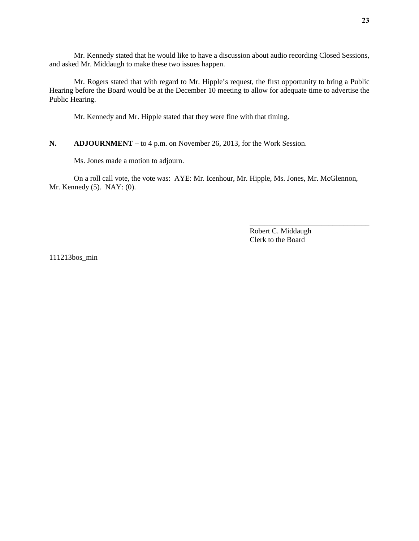Mr. Kennedy stated that he would like to have a discussion about audio recording Closed Sessions, and asked Mr. Middaugh to make these two issues happen.

Mr. Rogers stated that with regard to Mr. Hipple's request, the first opportunity to bring a Public Hearing before the Board would be at the December 10 meeting to allow for adequate time to advertise the Public Hearing.

Mr. Kennedy and Mr. Hipple stated that they were fine with that timing.

# **N. ADJOURNMENT –** to 4 p.m. on November 26, 2013, for the Work Session.

Ms. Jones made a motion to adjourn.

On a roll call vote, the vote was: AYE: Mr. Icenhour, Mr. Hipple, Ms. Jones, Mr. McGlennon, Mr. Kennedy (5). NAY: (0).

> Robert C. Middaugh Clerk to the Board

\_\_\_\_\_\_\_\_\_\_\_\_\_\_\_\_\_\_\_\_\_\_\_\_\_\_\_\_\_\_\_\_

111213bos\_min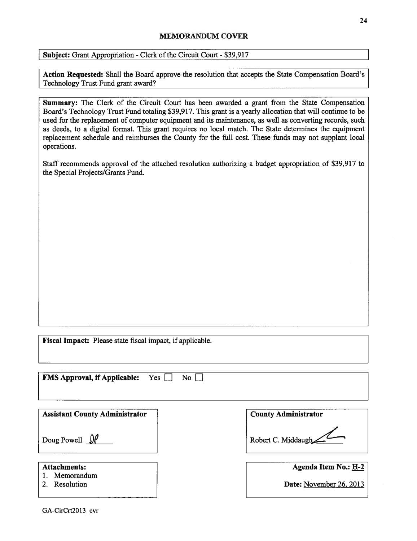## **MEMORANDUM COVER**

Subject: Grant Appropriation - Clerk of the Circuit Court - \$39,917

Action Requested: Shall the Board approve the resolution that accepts the State Compensation Board's Technology Trust Fund grant award?

Summary: The Clerk of the Circuit Court has been awarded a grant from the State Compensation Board's Technology Trust Fund totaling \$39,917. This grant is a yearly allocation that will continue to be used for the replacement of computer equipment and its maintenance, as well as converting records, such as deeds, to a digital format. This grant requires no local match. The State determines the equipment replacement schedule and reimburses the County for the full cost. These funds may not supplant local operations.

Staff recommends approval of the attached resolution authorizing a budget appropriation of \$39,917 to the Special Projects/Grants Fund.

Fiscal Impact: Please state fiscal impact, if applicable.

| Yes<br><b>FMS Approval, if Applicable:</b><br>No l |                             |
|----------------------------------------------------|-----------------------------|
| <b>Assistant County Administrator</b>              | <b>County Administrator</b> |
| Doug Powell $\iint$                                | Robert C. Middaugh          |
| <b>Attachments:</b><br>Memorandum                  | Agenda Item No.: H-2        |
| Resolution<br>2.                                   | Date: November 26, 2013     |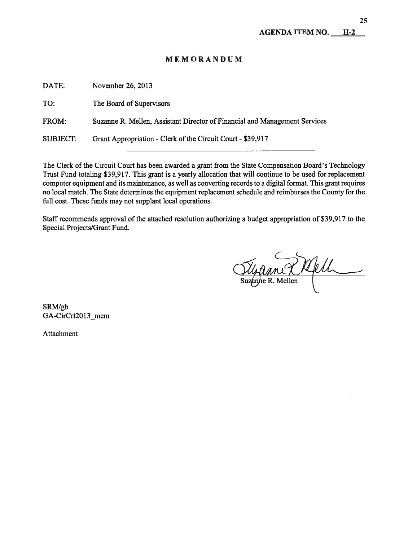# MEMORANDUM

| DATE:           | November 26, 2013                                                          |
|-----------------|----------------------------------------------------------------------------|
| TO:             | The Board of Supervisors                                                   |
| FROM:           | Suzanne R. Mellen, Assistant Director of Financial and Management Services |
| <b>SUBJECT:</b> | Grant Appropriation - Clerk of the Circuit Court - \$39,917                |
|                 |                                                                            |

The Clerk of the Circuit Court has been awarded a grant from the State Compensation Board's Technology Trust Fund totaling \$39,917. This grant is a yearly allocation that will continue to be used for replacement computer equipment and its maintenance, as well as converting records to a digital format. This grant requires no local match. The State determines the equipment replacement schedule and reimburses the County for the full cost. These funds may not supplant local operations.

Staff recommends approval of the attached resolution authorizing a budget appropriation of \$39,917 to the Special Projects/Grant Fund.

Susanne R Mell

SRM/gb GA-CirCrt2013 mem

Attachment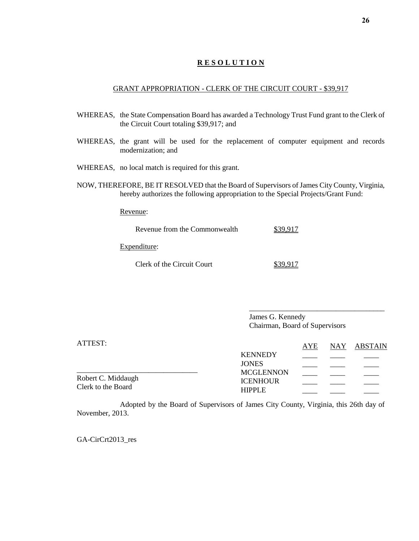## **R E S O L U T I O N**

#### GRANT APPROPRIATION - CLERK OF THE CIRCUIT COURT - \$39,917

- WHEREAS, the State Compensation Board has awarded a Technology Trust Fund grant to the Clerk of the Circuit Court totaling \$39,917; and
- WHEREAS, the grant will be used for the replacement of computer equipment and records modernization; and
- WHEREAS, no local match is required for this grant.
- NOW, THEREFORE, BE IT RESOLVED that the Board of Supervisors of James City County, Virginia, hereby authorizes the following appropriation to the Special Projects/Grant Fund:

Revenue:

| Revenue from the Commonwealth |  |
|-------------------------------|--|
| Expenditure:                  |  |
| Clerk of the Circuit Court    |  |

James G. Kennedy Chairman, Board of Supervisors

\_\_\_\_\_\_\_\_\_\_\_\_\_\_\_\_\_\_\_\_\_\_\_\_\_\_\_\_\_\_\_\_\_\_\_\_

| ATTEST:            |                  | AYE | NAY ABSTAIN |
|--------------------|------------------|-----|-------------|
|                    | <b>KENNEDY</b>   |     |             |
|                    | <b>JONES</b>     |     |             |
| Robert C. Middaugh | <b>MCGLENNON</b> |     |             |
| Clerk to the Board | <b>ICENHOUR</b>  |     |             |
|                    | <b>HIPPLE</b>    |     |             |

Adopted by the Board of Supervisors of James City County, Virginia, this 26th day of November, 2013.

GA-CirCrt2013\_res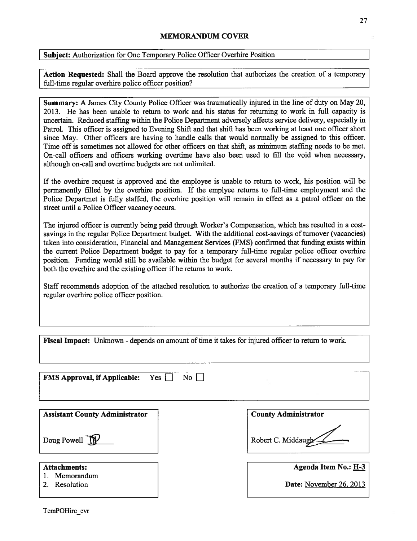## MEMORANDUM COVER

Subject: Authorization for One Temporary Police Officer Overhire Position

Action Requested: Shall the Board approve the resolution that authorizes the creation of a temporary full-time regular overhire police officer position?

Summary: A James City County Police Officer was traumatically injured in the line of duty on May 20, 2013. He has been unable to return to work and his status for returning to work in full capacity is uncertain. Reduced staffing within the Police Department adversely affects service delivery, especially in Patrol. This officer is assigned to Evening Shift and that shift has been working at least one officer short since May. Other officers are having to handle calls that would normally be assigned to this officer. Time off is sometimes not allowed for other officers on that shift, as minimum staffing needs to be met. On-call officers and officers working overtime have also been used to fill the void when necessary, although on-call and overtime budgets are not unlimited.

If the overhire request is approved and the employee is unable to return to work, his position will be permanently filled by the overhire position. If the emplyee returns to full-time employment and the Police Departmet is fully staffed, the overhire position will remain in effect as a patrol officer on the street until a Police Officer vacancy occurs.

The injured officer is currently being paid through Worker's Compensation, which has resulted in a costsavings in the regular Police Department budget. With the additional cost-savings of turnover (vacancies) taken into consideration, Financial and Management Services (FMS) confirmed that funding exists within the current Police Department budget to pay for a temporary full-time regular police officer overhire position. Funding would still be available within the budget for several months if necessary to pay for both the overhire and the existing officer if he returns to work.

Staff recommends adoption of the attached resolution to authorize the creation of a temporary full-time regular overhire police officer position.

Fiscal Impact: Unknown - depends on amount of time it takes for injured officer to return to work.

| <b>FMS Approval, if Applicable:</b><br>Yes<br>No I |                             |
|----------------------------------------------------|-----------------------------|
| <b>Assistant County Administrator</b>              | <b>County Administrator</b> |
| Doug Powell                                        | Robert C. Middaugh          |
| <b>Attachments:</b><br>Memorandum                  | Agenda Item No.: H-3        |
| Resolution                                         | Date: November 26, 2013     |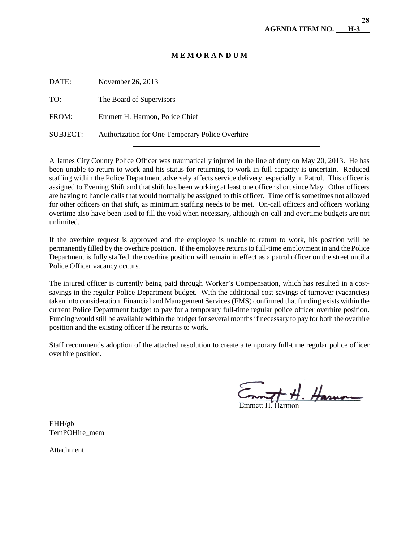## **M E M O R A N D U M**

| DATE:           | November 26, 2013                               |
|-----------------|-------------------------------------------------|
| TO:             | The Board of Supervisors                        |
| FROM:           | Emmett H. Harmon, Police Chief                  |
| <b>SUBJECT:</b> | Authorization for One Temporary Police Overhire |
|                 |                                                 |

A James City County Police Officer was traumatically injured in the line of duty on May 20, 2013. He has been unable to return to work and his status for returning to work in full capacity is uncertain. Reduced staffing within the Police Department adversely affects service delivery, especially in Patrol. This officer is assigned to Evening Shift and that shift has been working at least one officer short since May. Other officers are having to handle calls that would normally be assigned to this officer. Time off is sometimes not allowed for other officers on that shift, as minimum staffing needs to be met. On-call officers and officers working overtime also have been used to fill the void when necessary, although on-call and overtime budgets are not unlimited.

If the overhire request is approved and the employee is unable to return to work, his position will be permanently filled by the overhire position. If the employee returns to full-time employment in and the Police Department is fully staffed, the overhire position will remain in effect as a patrol officer on the street until a Police Officer vacancy occurs.

The injured officer is currently being paid through Worker's Compensation, which has resulted in a costsavings in the regular Police Department budget. With the additional cost-savings of turnover (vacancies) taken into consideration, Financial and Management Services (FMS) confirmed that funding exists within the current Police Department budget to pay for a temporary full-time regular police officer overhire position. Funding would still be available within the budget for several months if necessary to pay for both the overhire position and the existing officer if he returns to work.

Staff recommends adoption of the attached resolution to create a temporary full-time regular police officer overhire position.

 $H.$  Harno

EHH/gb TemPOHire\_mem

Attachment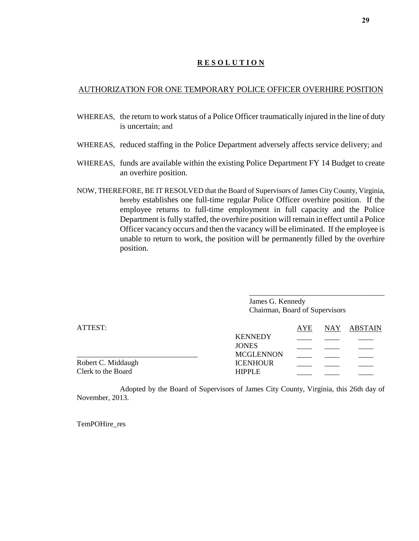# **R E S O L U T I O N**

# AUTHORIZATION FOR ONE TEMPORARY POLICE OFFICER OVERHIRE POSITION

- WHEREAS, the return to work status of a Police Officer traumatically injured in the line of duty is uncertain; and
- WHEREAS, reduced staffing in the Police Department adversely affects service delivery; and
- WHEREAS, funds are available within the existing Police Department FY 14 Budget to create an overhire position.
- NOW, THEREFORE, BE IT RESOLVED that the Board of Supervisors of James City County, Virginia, hereby establishes one full-time regular Police Officer overhire position. If the employee returns to full-time employment in full capacity and the Police Department is fully staffed, the overhire position will remain in effect until a Police Officer vacancy occurs and then the vacancy will be eliminated. If the employee is unable to return to work, the position will be permanently filled by the overhire position.

\_\_\_\_\_\_\_\_\_\_\_\_\_\_\_\_\_\_\_\_\_\_\_\_\_\_\_\_\_\_\_\_\_\_\_\_ James G. Kennedy Chairman, Board of Supervisors

| ATTEST:            |                  | AYE | NAY ABSTAIN |
|--------------------|------------------|-----|-------------|
|                    | <b>KENNEDY</b>   |     |             |
|                    | <b>JONES</b>     |     |             |
|                    | <b>MCGLENNON</b> |     |             |
| Robert C. Middaugh | <b>ICENHOUR</b>  |     |             |
| Clerk to the Board | <b>HIPPLE</b>    |     |             |

Adopted by the Board of Supervisors of James City County, Virginia, this 26th day of November, 2013.

TemPOHire\_res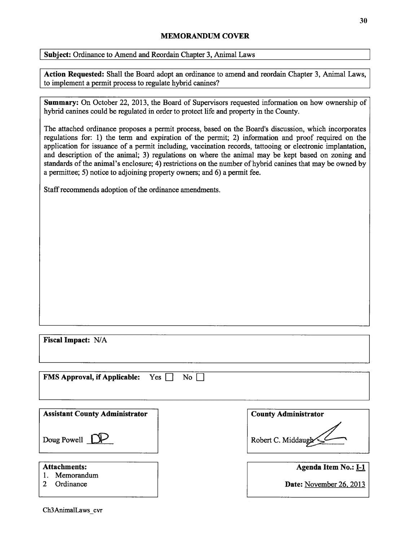## MEMORANDUM COVER

Subject: Ordinance to Amend and Reordain Chapter 3, Animal Laws

Action Requested: Shall the Board adopt an ordinance to amend and reordain Chapter 3, Animal Laws, to implement a permit process to regulate hybrid canines?

Summary: On October 22, 2013, the Board of Supervisors requested information on how ownership of hybrid canines could be regulated in order to protect life and property in the County.

The attached ordinance proposes a permit process, based on the Board's discussion, which incorporates regulations for: 1) the term and expiration of the permit; 2) information and proof required on the application for issuance of a permit including, vaccination records, tattooing or electronic implantation, and description of the animal; 3) regulations on where the animal may be kept based on zoning and standards of the animal's enclosure; 4) restrictions on the number of hybrid canines that may be owned by a permittee; 5) notice to adjoining property owners; and 6) a permit fee.

Staff recommends adoption of the ordinance amendments.

| Fiscal Impact: N/A                                               |                                                 |
|------------------------------------------------------------------|-------------------------------------------------|
| <b>FMS Approval, if Applicable:</b><br>Yes  <br>$\overline{N_0}$ |                                                 |
| <b>Assistant County Administrator</b>                            | <b>County Administrator</b>                     |
| Doug Powell [                                                    | Robert C. Middaugh                              |
| <b>Attachments:</b><br>Memorandum<br>Ordinance<br>2              | Agenda Item No.: I-1<br>Date: November 26, 2013 |
|                                                                  |                                                 |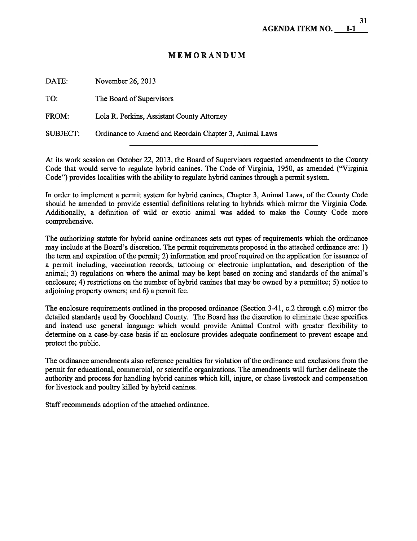# MEMORANDUM

| DATE:           | November 26, 2013                                      |
|-----------------|--------------------------------------------------------|
| TO:             | The Board of Supervisors                               |
| FROM:           | Lola R. Perkins, Assistant County Attorney             |
| <b>SUBJECT:</b> | Ordinance to Amend and Reordain Chapter 3, Animal Laws |

At its work session on October 22, 2013, the Board of Supervisors requested amendments to the County Code that would serve to regulate hybrid canines. The Code of Virginia, 1950, as amended ("Virginia Code") provides localities with the ability to regulate hybrid canines through a permit system.

In order to implement a permit system for hybrid canines, Chapter 3, Animal Laws, of the County Code should be amended to provide essential definitions relating to hybrids which mirror the Virginia Code. Additionally, a definition of wild or exotic animal was added to make the County Code more comprehensive.

The authorizing statute for hybrid canine ordinances sets out types of requirements which the ordinance may include at the Board's discretion. The permit requirements proposed in the attached ordinance are: 1) the term and expiration of the permit; 2) information and proof required on the application for issuance of a permit including, vaccination records, tattooing or electronic implantation, and description of the animal; 3) regulations on where the animal may be kept based on zoning and standards of the animal's enclosure; 4) restrictions on the number of hybrid canines that may be owned by a permittee; 5) notice to adjoining property owners; and 6) a permit fee.

The enclosure requirements outlined in the proposed ordinance (Section 3-41, c.2 through c.6) mirror the detailed standards used by Goochland County. The Board has the discretion to eliminate these specifics and instead use general language which would provide Animal Control with greater flexibility to determine on a case-by-case basis if an enclosure provides adequate confmement to prevent escape and protect the public.

The ordinance amendments also reference penalties for violation of the ordinance and exclusions from the permit for educational, commercial, or scientific organizations. The amendments will further delineate the authority and process for handling hybrid canines which kill, injure, or chase livestock and compensation for livestock and poultry killed by hybrid canines.

Staff recommends adoption of the attached ordinance.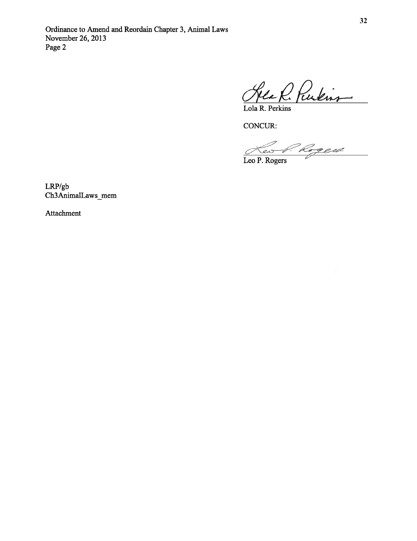Heath Purkins

Lola R. Perkins

CONCUR:

Leo P. Rogers

LRP/gb Ch3AnimalLaws\_mem

Attachment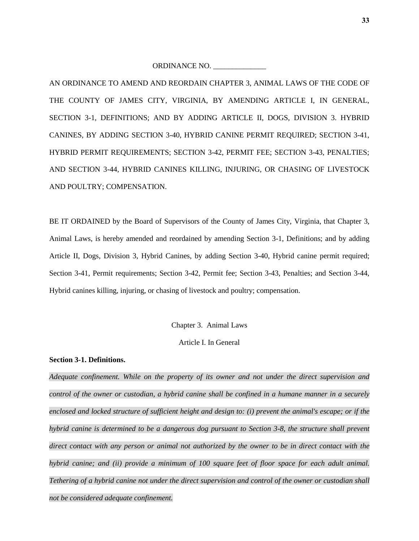ORDINANCE NO.

AN ORDINANCE TO AMEND AND REORDAIN CHAPTER 3, ANIMAL LAWS OF THE CODE OF THE COUNTY OF JAMES CITY, VIRGINIA, BY AMENDING ARTICLE I, IN GENERAL, SECTION 3-1, DEFINITIONS; AND BY ADDING ARTICLE II, DOGS, DIVISION 3. HYBRID CANINES, BY ADDING SECTION 3-40, HYBRID CANINE PERMIT REQUIRED; SECTION 3-41, HYBRID PERMIT REQUIREMENTS; SECTION 3-42, PERMIT FEE; SECTION 3-43, PENALTIES; AND SECTION 3-44, HYBRID CANINES KILLING, INJURING, OR CHASING OF LIVESTOCK AND POULTRY; COMPENSATION.

BE IT ORDAINED by the Board of Supervisors of the County of James City, Virginia, that Chapter 3, Animal Laws, is hereby amended and reordained by amending Section 3-1, Definitions; and by adding Article II, Dogs, Division 3, Hybrid Canines, by adding Section 3-40, Hybrid canine permit required; Section 3-41, Permit requirements; Section 3-42, Permit fee; Section 3-43, Penalties; and Section 3-44, Hybrid canines killing, injuring, or chasing of livestock and poultry; compensation.

Chapter 3. Animal Laws

Article I. In General

#### **Section 3-1. Definitions.**

*Adequate confinement. While on the property of its owner and not under the direct supervision and control of the owner or custodian, a hybrid canine shall be confined in a humane manner in a securely enclosed and locked structure of sufficient height and design to: (i) prevent the animal's escape; or if the hybrid canine is determined to be a dangerous dog pursuant to Section 3-8, the structure shall prevent direct contact with any person or animal not authorized by the owner to be in direct contact with the hybrid canine; and (ii) provide a minimum of 100 square feet of floor space for each adult animal. Tethering of a hybrid canine not under the direct supervision and control of the owner or custodian shall not be considered adequate confinement.*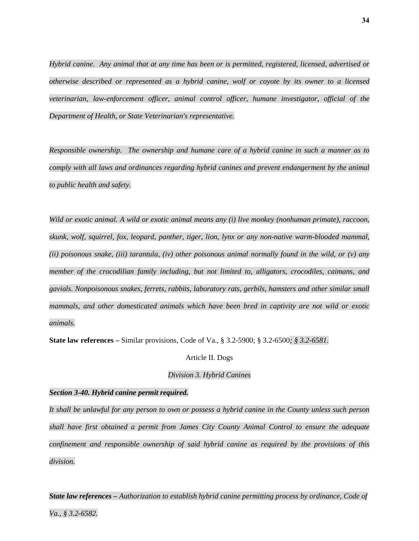*Hybrid canine. Any animal that at any time has been or is permitted, registered, licensed, advertised or otherwise described or represented as a hybrid canine, wolf or coyote by its owner to a licensed veterinarian, law-enforcement officer, animal control officer, humane investigator, official of the Department of Health, or State Veterinarian's representative.* 

*Responsible ownership. The ownership and humane care of a hybrid canine in such a manner as to comply with all laws and ordinances regarding hybrid canines and prevent endangerment by the animal to public health and safety.* 

*Wild or exotic animal. A wild or exotic animal means any (i) live monkey (nonhuman primate), raccoon, skunk, wolf, squirrel, fox, leopard, panther, tiger, lion, lynx or any non-native warm-blooded mammal, (ii) poisonous snake, (iii) tarantula, (iv) other poisonous animal normally found in the wild, or (v) any member of the crocodilian family including, but not limited to, alligators, crocodiles, caimans, and gavials. Nonpoisonous snakes, ferrets, rabbits, laboratory rats, gerbils, hamsters and other similar small mammals, and other domesticated animals which have been bred in captivity are not wild or exotic animals.* 

**State law references –** Similar provisions, Code of Va., § 3.2-5900; § 3.2-6500*; § 3.2-6581*.

#### Article II. Dogs

#### *Division 3. Hybrid Canines*

#### *Section 3-40. Hybrid canine permit required.*

*It shall be unlawful for any person to own or possess a hybrid canine in the County unless such person shall have first obtained a permit from James City County Animal Control to ensure the adequate confinement and responsible ownership of said hybrid canine as required by the provisions of this division.* 

*State law references – Authorization to establish hybrid canine permitting process by ordinance, Code of*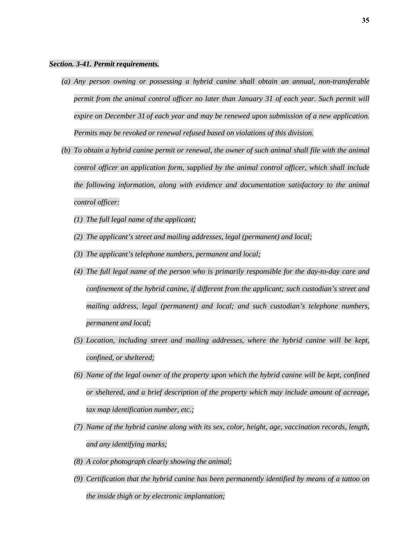#### *Section. 3-41. Permit requirements.*

- *(a) Any person owning or possessing a hybrid canine shall obtain an annual, non-transferable permit from the animal control officer no later than January 31 of each year. Such permit will expire on December 31 of each year and may be renewed upon submission of a new application. Permits may be revoked or renewal refused based on violations of this division.*
- *(b) To obtain a hybrid canine permit or renewal, the owner of such animal shall file with the animal control officer an application form, supplied by the animal control officer, which shall include the following information, along with evidence and documentation satisfactory to the animal control officer:* 
	- *(1) The full legal name of the applicant;*
	- *(2) The applicant's street and mailing addresses, legal (permanent) and local;*
	- *(3) The applicant's telephone numbers, permanent and local;*
	- *(4) The full legal name of the person who is primarily responsible for the day-to-day care and confinement of the hybrid canine, if different from the applicant; such custodian's street and mailing address, legal (permanent) and local; and such custodian's telephone numbers, permanent and local;*
	- *(5) Location, including street and mailing addresses, where the hybrid canine will be kept, confined, or sheltered;*
	- *(6) Name of the legal owner of the property upon which the hybrid canine will be kept, confined or sheltered, and a brief description of the property which may include amount of acreage, tax map identification number, etc.;*
	- *(7) Name of the hybrid canine along with its sex, color, height, age, vaccination records, length, and any identifying marks;*
	- *(8) A color photograph clearly showing the animal;*
	- *(9) Certification that the hybrid canine has been permanently identified by means of a tattoo on the inside thigh or by electronic implantation;*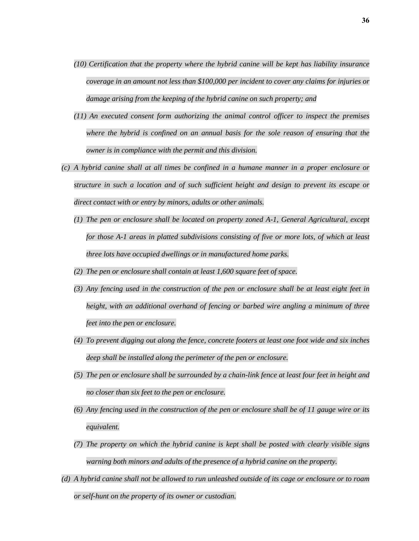- *(10) Certification that the property where the hybrid canine will be kept has liability insurance coverage in an amount not less than \$100,000 per incident to cover any claims for injuries or damage arising from the keeping of the hybrid canine on such property; and*
- *(11) An executed consent form authorizing the animal control officer to inspect the premises where the hybrid is confined on an annual basis for the sole reason of ensuring that the owner is in compliance with the permit and this division.*
- *(c) A hybrid canine shall at all times be confined in a humane manner in a proper enclosure or structure in such a location and of such sufficient height and design to prevent its escape or direct contact with or entry by minors, adults or other animals.* 
	- *(1) The pen or enclosure shall be located on property zoned A-1, General Agricultural, except for those A-1 areas in platted subdivisions consisting of five or more lots, of which at least three lots have occupied dwellings or in manufactured home parks.*
	- *(2) The pen or enclosure shall contain at least 1,600 square feet of space.*
	- *(3) Any fencing used in the construction of the pen or enclosure shall be at least eight feet in height, with an additional overhand of fencing or barbed wire angling a minimum of three feet into the pen or enclosure.*
	- *(4) To prevent digging out along the fence, concrete footers at least one foot wide and six inches deep shall be installed along the perimeter of the pen or enclosure.*
	- *(5) The pen or enclosure shall be surrounded by a chain-link fence at least four feet in height and no closer than six feet to the pen or enclosure.*
	- *(6) Any fencing used in the construction of the pen or enclosure shall be of 11 gauge wire or its equivalent.*
	- *(7) The property on which the hybrid canine is kept shall be posted with clearly visible signs warning both minors and adults of the presence of a hybrid canine on the property.*
- *(d) A hybrid canine shall not be allowed to run unleashed outside of its cage or enclosure or to roam or self-hunt on the property of its owner or custodian.*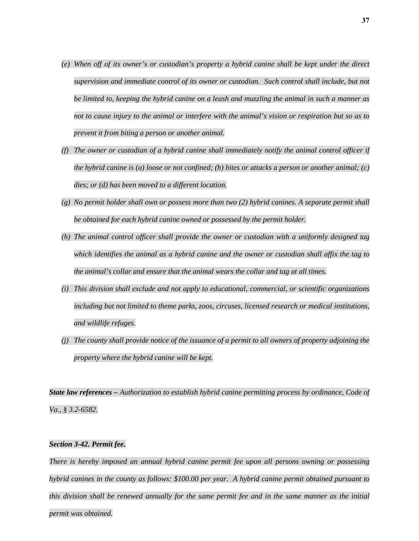- *(e) When off of its owner's or custodian's property a hybrid canine shall be kept under the direct supervision and immediate control of its owner or custodian. Such control shall include, but not be limited to, keeping the hybrid canine on a leash and muzzling the animal in such a manner as not to cause injury to the animal or interfere with the animal's vision or respiration but so as to prevent it from biting a person or another animal.*
- *(f) The owner or custodian of a hybrid canine shall immediately notify the animal control officer if the hybrid canine is (a) loose or not confined; (b) bites or attacks a person or another animal; (c) dies; or (d) has been moved to a different location.*
- *(g) No permit holder shall own or possess more than two (2) hybrid canines. A separate permit shall be obtained for each hybrid canine owned or possessed by the permit holder.*
- *(h) The animal control officer shall provide the owner or custodian with a uniformly designed tag which identifies the animal as a hybrid canine and the owner or custodian shall affix the tag to the animal's collar and ensure that the animal wears the collar and tag at all times.*
- *(i) This division shall exclude and not apply to educational, commercial, or scientific organizations including but not limited to theme parks, zoos, circuses, licensed research or medical institutions, and wildlife refuges.*
- *(j) The county shall provide notice of the issuance of a permit to all owners of property adjoining the property where the hybrid canine will be kept.*

*State law references – Authorization to establish hybrid canine permitting process by ordinance, Code of Va., § 3.2-6582.*

#### *Section 3-42. Permit fee.*

*There is hereby imposed an annual hybrid canine permit fee upon all persons owning or possessing hybrid canines in the county as follows: \$100.00 per year. A hybrid canine permit obtained pursuant to this division shall be renewed annually for the same permit fee and in the same manner as the initial permit was obtained.*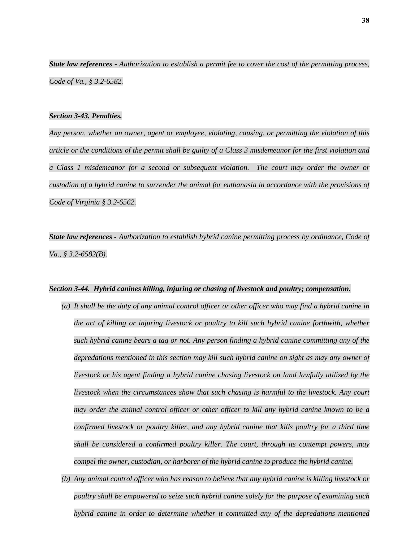*State law references - Authorization to establish a permit fee to cover the cost of the permitting process, Code of Va., § 3.2-6582.*

#### *Section 3-43. Penalties.*

*Any person, whether an owner, agent or employee, violating, causing, or permitting the violation of this article or the conditions of the permit shall be guilty of a Class 3 misdemeanor for the first violation and a Class 1 misdemeanor for a second or subsequent violation. The court may order the owner or custodian of a hybrid canine to surrender the animal for euthanasia in accordance with the provisions of Code of Virginia § 3.2-6562.* 

*State law references - Authorization to establish hybrid canine permitting process by ordinance, Code of Va., § 3.2-6582(B).*

#### *Section 3-44. Hybrid canines killing, injuring or chasing of livestock and poultry; compensation.*

- *(a) It shall be the duty of any animal control officer or other officer who may find a hybrid canine in the act of killing or injuring livestock or poultry to kill such hybrid canine forthwith, whether such hybrid canine bears a tag or not. Any person finding a hybrid canine committing any of the depredations mentioned in this section may kill such hybrid canine on sight as may any owner of livestock or his agent finding a hybrid canine chasing livestock on land lawfully utilized by the livestock when the circumstances show that such chasing is harmful to the livestock. Any court may order the animal control officer or other officer to kill any hybrid canine known to be a confirmed livestock or poultry killer, and any hybrid canine that kills poultry for a third time shall be considered a confirmed poultry killer. The court, through its contempt powers, may compel the owner, custodian, or harborer of the hybrid canine to produce the hybrid canine.*
- *(b) Any animal control officer who has reason to believe that any hybrid canine is killing livestock or poultry shall be empowered to seize such hybrid canine solely for the purpose of examining such hybrid canine in order to determine whether it committed any of the depredations mentioned*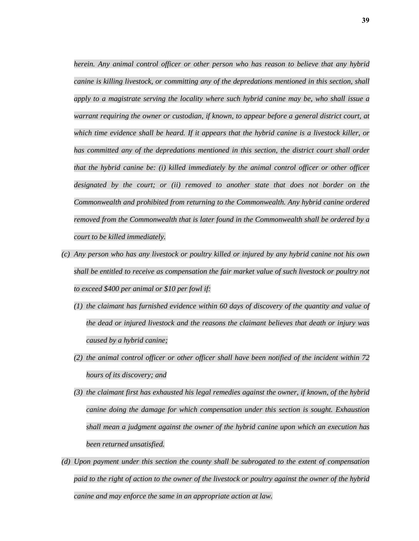*herein. Any animal control officer or other person who has reason to believe that any hybrid canine is killing livestock, or committing any of the depredations mentioned in this section, shall apply to a magistrate serving the locality where such hybrid canine may be, who shall issue a warrant requiring the owner or custodian, if known, to appear before a general district court, at which time evidence shall be heard. If it appears that the hybrid canine is a livestock killer, or*  has committed any of the depredations mentioned in this section, the district court shall order *that the hybrid canine be: (i) killed immediately by the animal control officer or other officer designated by the court; or (ii) removed to another state that does not border on the Commonwealth and prohibited from returning to the Commonwealth. Any hybrid canine ordered removed from the Commonwealth that is later found in the Commonwealth shall be ordered by a court to be killed immediately.* 

- *(c) Any person who has any livestock or poultry killed or injured by any hybrid canine not his own shall be entitled to receive as compensation the fair market value of such livestock or poultry not to exceed \$400 per animal or \$10 per fowl if:* 
	- *(1) the claimant has furnished evidence within 60 days of discovery of the quantity and value of the dead or injured livestock and the reasons the claimant believes that death or injury was caused by a hybrid canine;*
	- *(2) the animal control officer or other officer shall have been notified of the incident within 72 hours of its discovery; and*
	- *(3) the claimant first has exhausted his legal remedies against the owner, if known, of the hybrid canine doing the damage for which compensation under this section is sought. Exhaustion shall mean a judgment against the owner of the hybrid canine upon which an execution has been returned unsatisfied.*
- *(d) Upon payment under this section the county shall be subrogated to the extent of compensation paid to the right of action to the owner of the livestock or poultry against the owner of the hybrid canine and may enforce the same in an appropriate action at law.*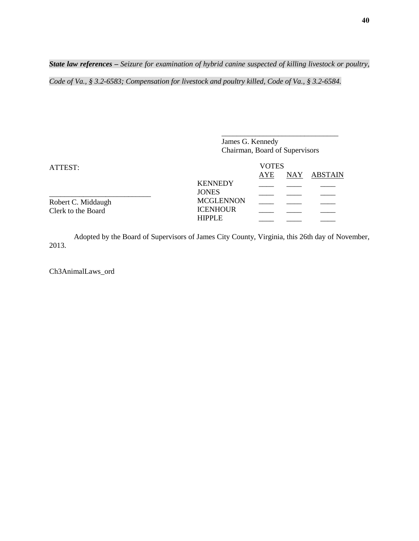*State law references – Seizure for examination of hybrid canine suspected of killing livestock or poultry,* 

*Code of Va., § 3.2-6583; Compensation for livestock and poultry killed, Code of Va., § 3.2-6584.* 

| <b>ATTEST:</b>     | James G. Kennedy<br>Chairman, Board of Supervisors<br><b>VOTES</b> |                |  |  |  |
|--------------------|--------------------------------------------------------------------|----------------|--|--|--|
|                    |                                                                    |                |  |  |  |
|                    |                                                                    | <b>KENNEDY</b> |  |  |  |
|                    | <b>JONES</b>                                                       |                |  |  |  |
| Robert C. Middaugh | <b>MCGLENNON</b>                                                   |                |  |  |  |
| Clerk to the Board | <b>ICENHOUR</b><br><b>HIPPLE</b>                                   |                |  |  |  |
|                    |                                                                    |                |  |  |  |

\_\_\_\_\_\_\_\_\_\_\_\_\_\_\_\_\_\_\_\_\_\_\_\_\_\_\_\_\_\_\_

Adopted by the Board of Supervisors of James City County, Virginia, this 26th day of November, 2013.

Ch3AnimalLaws\_ord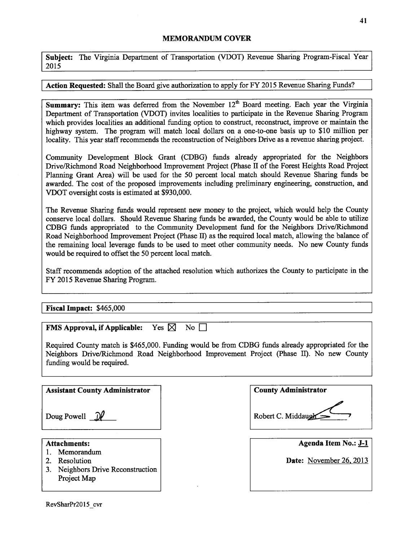## MEMORANDUM COVER

Subject: The Virginia Department of Transportation (VDOT) Revenue Sharing Program-Fiscal Year 2015

## Action Requested: Shall the Board give authorization to apply for FY 2015 Revenue Sharing Funds?

Summary: This item was deferred from the November  $12<sup>th</sup>$  Board meeting. Each year the Virginia Department of Transportation (VDOT) invites localities to participate in the Revenue Sharing Program which provides localities an additional funding option to construct, reconstruct, improve or maintain the highway system. The program will match local dollars on a one-to-one basis up to \$10 million per locality. This year staff recommends the reconstruction of Neighbors Drive as a revenue sharing project.

Community Development Block Grant (CDBG) funds already appropriated for the Neighbors Drive/Richmond Road Neighborhood Improvement Project (Phase II of the Forest Heights Road Project Planning Grant Area) will be used for the 50 percent local match should Revenue Sharing funds be awarded. The cost of the proposed improvements including preliminary engineering, construction, and VDOT oversight costs is estimated at \$930,000.

The Revenue Sharing funds would represent new money to the project, which would help the County conserve local dollars. Should Revenue Sharing funds be awarded, the County would be able to utilize CDBG funds appropriated to the Community Development fund for the Neighbors Drive/Richmond Road Neighborhood Improvement Project (Phase II) as the required local match, allowing the balance of the remaining local leverage funds to be used to meet other community needs. No new County funds would be required to offset the 50 percent local match.

Staff recommends adoption of the attached resolution which authorizes the County to participate in the FY 2015 Revenue Sharing Program.

## Fiscal Impact: \$465,000

| <b>FMS Approval, if Applicable:</b> Yes $\boxtimes$ No $\Box$ |  |
|---------------------------------------------------------------|--|

Required County match is \$465,000. Funding would be from CDBG funds already appropriated for the Neighbors Drive/Richmond Road Neighborhood Improvement Project (Phase II). No new County funding would be required.

Assistant County Administrator | County Administrator | County Administrator

Doug Powell  $\mathcal{P}$ 

- 1. Memorandum
- 
- 3. Neighbors Drive Reconstruction Project Map

Robert C. Middaugh

Attachments:<br>
Attachments: Agenda Item No.: J-1<br>
Memorandum

2. Resolution **Date:** November 26, 2013

**41**

RevSharPr2015 cvr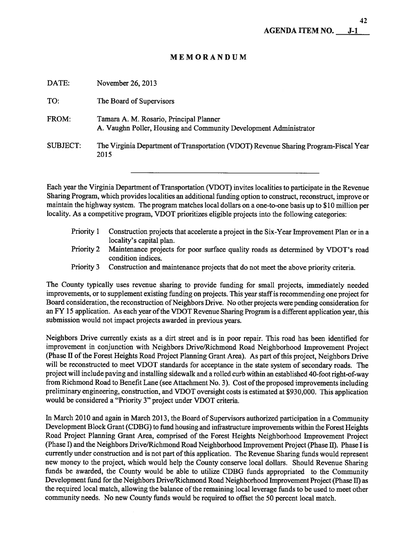# MEMORANDUM

| DATE:    | November 26, 2013                                                                                            |
|----------|--------------------------------------------------------------------------------------------------------------|
| TO:      | The Board of Supervisors                                                                                     |
| FROM:    | Tamara A. M. Rosario, Principal Planner<br>A. Vaughn Poller, Housing and Community Development Administrator |
| SUBJECT: | The Virginia Department of Transportation (VDOT) Revenue Sharing Program-Fiscal Year<br>2015                 |

Each year the Virginia Department of Transportation (VDOT) invites localities to participate in the Revenue Sharing Program, which provides localities an additional funding option to construct, reconstruct, improve or maintain the highway system. The program matches local dollars on a one-to-one basis up to \$10 million per locality. As a competitive program, VDOT prioritizes eligible projects into the following categories:

- Priority <sup>1</sup> Construction projects that accelerate a project in the Six-Year Improvement Plan or in a locality's capital plan.
- Priority 2 Maintenance projects for poor surface quality roads as determined by VDOT's road condition indices.
- Priority <sup>3</sup> Construction and maintenance projects that do not meet the above priority criteria.

The County typically uses revenue sharing to provide funding for small projects, immediately needed improvements, or to supplement existing funding on projects. This year staffis recommending one project for Board consideration, the reconstruction of Neighbors Drive. No other projects were pending consideration for an FY 15 application. As each year of the VDOT Revenue Sharing Program is a different application year, this submission would not impact projects awarded in previous years.

Neighbors Drive currently exists as a dirt street and is in poor repair. This road has been identified for improvement in conjunction with Neighbors Drive/Richmond Road Neighborhood Improvement Project (Phase II of the Forest Heights Road Project Planning Grant Area). As part of this project, Neighbors Drive will be reconstructed to meet VDOT standards for acceptance in the state system of secondary roads. The project will include paving and installing sidewalk and a rolled curb within an established 40-foot right-of-way from Richmond Road to Benefit Lane (see Attachment No. 3). Cost of the proposed improvements including preliminary engineering, construction, and VDOT oversight costs is estimated at \$930,000. This application would be considered a "Priority 3" project under VDOT criteria.

In March 2010 and again in March 2013, the Board of Supervisors authorized participation in a Community Development Block Grant (CDBG) to fund housing and infrastructure improvements within the Forest Heights Road Project Planning Grant Area, comprised of the Forest Heights Neighborhood Improvement Project (Phase I) and the Neighbors Drive/Richmond Road Neighborhood Improvement Project (Phase II). Phase I is currently under construction and is not part of this application. The Revenue Sharing funds would represent new money to the project, which would help the County conserve local dollars. Should Revenue Sharing funds be awarded, the County would be able to utilize CDBG funds appropriated to the Community Development fund for the Neighbors Drive/Richmond Road Neighborhood Improvement Project (Phase II) as the required local match, allowing the balance of the remaining local leverage funds to be used to meet other community needs. No new County funds would be required to offset the 50 percent local match.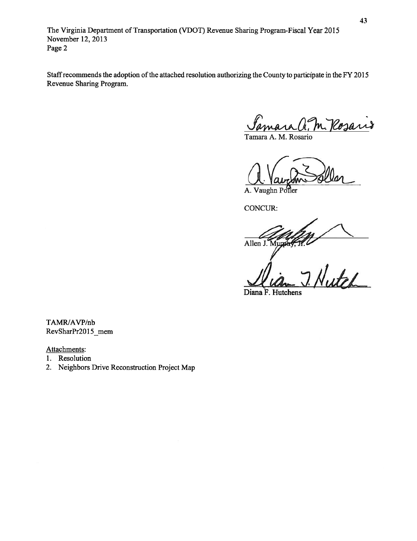The Virginia Department of Transportation (VDOT) Revenue Sharing Program-Fiscal Year 2015 November 12, 2013 Page 2

Staff recommends the adoption of the attached resolution authorizing the County to participate in the FY 2015 Revenue Sharing Program.

<u>Samara A. M. Pessari</u>o

aught Seller

A. Vaughn Poller

CONCUR:

Allen J. Mur

1. Nutch

Diana F. Hutchens

TAMR/AVP/nb RevSharPr2015 mem

Attachments:

1. Resolution

2. Neighbors Drive Reconstruction Project Map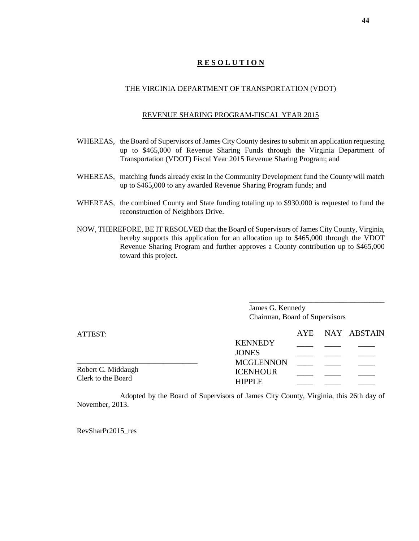# **R E S O L U T I O N**

## THE VIRGINIA DEPARTMENT OF TRANSPORTATION (VDOT)

#### REVENUE SHARING PROGRAM-FISCAL YEAR 2015

- WHEREAS, the Board of Supervisors of James City County desires to submit an application requesting up to \$465,000 of Revenue Sharing Funds through the Virginia Department of Transportation (VDOT) Fiscal Year 2015 Revenue Sharing Program; and
- WHEREAS, matching funds already exist in the Community Development fund the County will match up to \$465,000 to any awarded Revenue Sharing Program funds; and
- WHEREAS, the combined County and State funding totaling up to \$930,000 is requested to fund the reconstruction of Neighbors Drive.
- NOW, THEREFORE, BE IT RESOLVED that the Board of Supervisors of James City County, Virginia, hereby supports this application for an allocation up to \$465,000 through the VDOT Revenue Sharing Program and further approves a County contribution up to \$465,000 toward this project.

| James G. Kennedy               |  |
|--------------------------------|--|
| Chairman, Board of Supervisors |  |

| ATTEST:                                  |                                  | AYE | NAY ABSTAIN |
|------------------------------------------|----------------------------------|-----|-------------|
|                                          | <b>KENNEDY</b>                   |     |             |
|                                          | <b>JONES</b>                     |     |             |
|                                          | <b>MCGLENNON</b>                 |     |             |
| Robert C. Middaugh<br>Clerk to the Board | <b>ICENHOUR</b><br><b>HIPPLE</b> |     |             |

Adopted by the Board of Supervisors of James City County, Virginia, this 26th day of November, 2013.

RevSharPr2015\_res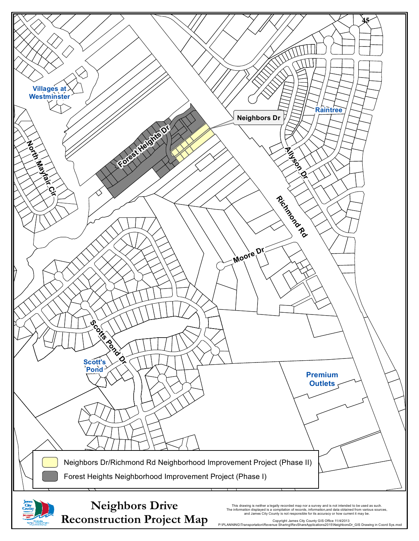

**Reconstruction Project Map** 

This drawing is neither a legally recorded map nor a survey and is not intended to be used as such.<br>The information displayed is a compilation of records, information,and data obtained from various sources,<br>and James City

P:\PLANNING\Transportation\Revenue Sharing\RevShareApplications2015\NeighborsDr\_GIS Drawing in Coord Sys.mxd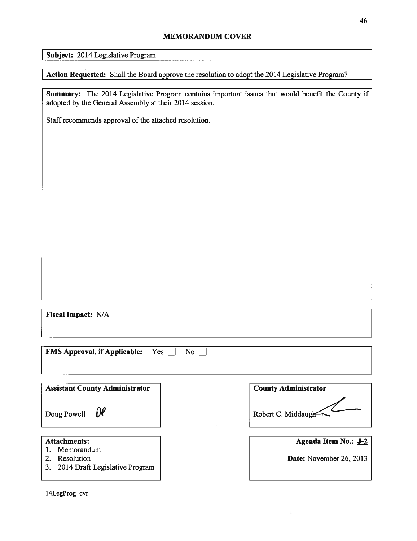## MEMORANDUM COVER

Subject: 2014 Legislative Program

Action Requested: Shall the Board approve the resolution to adopt the 2014 Legislative Program?

Summary: The 2014 Legislative Program contains important issues that would benefit the County if adopted by the General Assembly at their 2014 session.

Staff recommends approval of the attached resolution.

Fiscal Impact: N/A

FMS Approval, if Applicable:  $Yes \Box No \Box$ 

| <b>Assistant County Administrator</b>                            | <b>County Administrator</b> |
|------------------------------------------------------------------|-----------------------------|
| Doug Powell $\theta$                                             | Robert C. Middaugh          |
| <b>Attachments:</b>                                              | Agenda Item No.: J-2        |
| Memorandum<br>Resolution<br>2014 Draft Legislative Program<br>3. | Date: November 26, 2013     |

l4LegProg\_cvr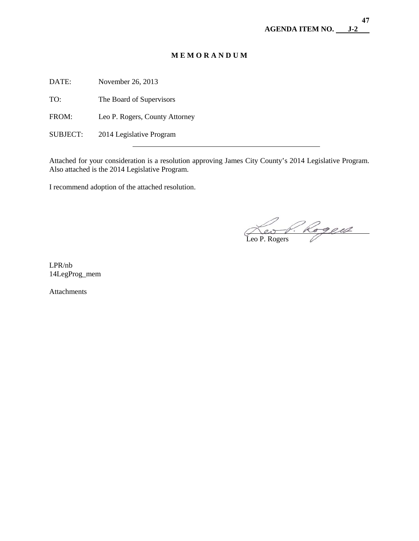# **M E M O R A N D U M**

DATE: November 26, 2013

TO: The Board of Supervisors

FROM: Leo P. Rogers, County Attorney

 $\overline{a}$ 

SUBJECT: 2014 Legislative Program

Attached for your consideration is a resolution approving James City County's 2014 Legislative Program. Also attached is the 2014 Legislative Program.

I recommend adoption of the attached resolution.

 $\overline{\phantom{a}}$ Leo P. Rogers

LPR/nb 14LegProg\_mem

Attachments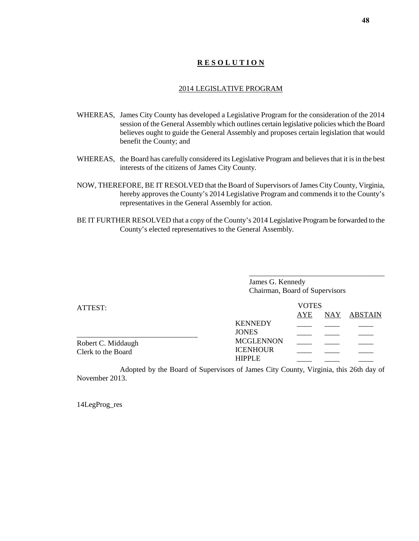# **R E S O L U T I O N**

#### 2014 LEGISLATIVE PROGRAM

- WHEREAS, James City County has developed a Legislative Program for the consideration of the 2014 session of the General Assembly which outlines certain legislative policies which the Board believes ought to guide the General Assembly and proposes certain legislation that would benefit the County; and
- WHEREAS, the Board has carefully considered its Legislative Program and believes that it is in the best interests of the citizens of James City County.
- NOW, THEREFORE, BE IT RESOLVED that the Board of Supervisors of James City County, Virginia, hereby approves the County's 2014 Legislative Program and commends it to the County's representatives in the General Assembly for action.
- BE IT FURTHER RESOLVED that a copy of the County's 2014 Legislative Program be forwarded to the County's elected representatives to the General Assembly.

\_\_\_\_\_\_\_\_\_\_\_\_\_\_\_\_\_\_\_\_\_\_\_\_\_\_\_\_\_\_\_\_\_\_\_\_ James G. Kennedy Chairman, Board of Supervisors

| ATTEST:            |                                  | <b>VOTES</b> |  |             |  |
|--------------------|----------------------------------|--------------|--|-------------|--|
|                    |                                  | AYE          |  | NAY ABSTAIN |  |
|                    | <b>KENNEDY</b>                   |              |  |             |  |
|                    | <b>JONES</b>                     |              |  |             |  |
| Robert C. Middaugh | <b>MCGLENNON</b>                 |              |  |             |  |
| Clerk to the Board | <b>ICENHOUR</b><br><b>HIPPLE</b> |              |  |             |  |
|                    |                                  |              |  |             |  |

Adopted by the Board of Supervisors of James City County, Virginia, this 26th day of November 2013.

14LegProg\_res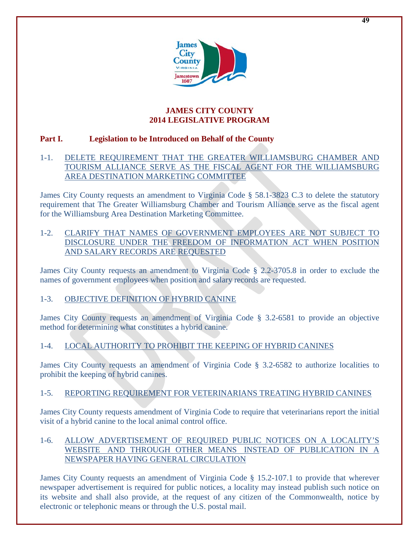

# **JAMES CITY COUNTY 2014 LEGISLATIVE PROGRAM**

# **Part I. Legislation to be Introduced on Behalf of the County**

# 1-1. DELETE REQUIREMENT THAT THE GREATER WILLIAMSBURG CHAMBER AND TOURISM ALLIANCE SERVE AS THE FISCAL AGENT FOR THE WILLIAMSBURG AREA DESTINATION MARKETING COMMITTEE

James City County requests an amendment to Virginia Code § 58.1-3823 C.3 to delete the statutory requirement that The Greater Williamsburg Chamber and Tourism Alliance serve as the fiscal agent for the Williamsburg Area Destination Marketing Committee.

# 1-2. CLARIFY THAT NAMES OF GOVERNMENT EMPLOYEES ARE NOT SUBJECT TO DISCLOSURE UNDER THE FREEDOM OF INFORMATION ACT WHEN POSITION AND SALARY RECORDS ARE REQUESTED

James City County requests an amendment to Virginia Code § 2.2-3705.8 in order to exclude the names of government employees when position and salary records are requested.

# 1-3. OBJECTIVE DEFINITION OF HYBRID CANINE

James City County requests an amendment of Virginia Code § 3.2-6581 to provide an objective method for determining what constitutes a hybrid canine.

# 1-4. LOCAL AUTHORITY TO PROHIBIT THE KEEPING OF HYBRID CANINES

James City County requests an amendment of Virginia Code § 3.2-6582 to authorize localities to prohibit the keeping of hybrid canines.

# 1-5. REPORTING REQUIREMENT FOR VETERINARIANS TREATING HYBRID CANINES

James City County requests amendment of Virginia Code to require that veterinarians report the initial visit of a hybrid canine to the local animal control office.

# 1-6. ALLOW ADVERTISEMENT OF REQUIRED PUBLIC NOTICES ON A LOCALITY'S WEBSITE AND THROUGH OTHER MEANS INSTEAD OF PUBLICATION IN A NEWSPAPER HAVING GENERAL CIRCULATION

James City County requests an amendment of Virginia Code § 15.2-107.1 to provide that wherever newspaper advertisement is required for public notices, a locality may instead publish such notice on its website and shall also provide, at the request of any citizen of the Commonwealth, notice by electronic or telephonic means or through the U.S. postal mail.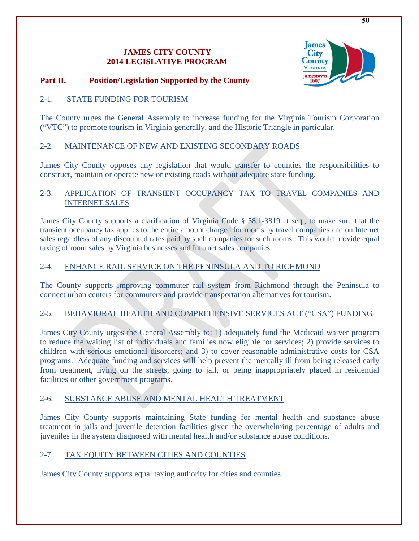# **JAMES CITY COUNTY 2014 LEGISLATIVE PROGRAM**



# **Part II. Position/Legislation Supported by the County**

# 2-1. STATE FUNDING FOR TOURISM

The County urges the General Assembly to increase funding for the Virginia Tourism Corporation ("VTC") to promote tourism in Virginia generally, and the Historic Triangle in particular.

# 2-2. MAINTENANCE OF NEW AND EXISTING SECONDARY ROADS

James City County opposes any legislation that would transfer to counties the responsibilities to construct, maintain or operate new or existing roads without adequate state funding.

# 2-3. APPLICATION OF TRANSIENT OCCUPANCY TAX TO TRAVEL COMPANIES AND INTERNET SALES

James City County supports a clarification of Virginia Code § 58.1-3819 et seq., to make sure that the transient occupancy tax applies to the entire amount charged for rooms by travel companies and on Internet sales regardless of any discounted rates paid by such companies for such rooms. This would provide equal taxing of room sales by Virginia businesses and Internet sales companies.

# 2-4. ENHANCE RAIL SERVICE ON THE PENINSULA AND TO RICHMOND

The County supports improving commuter rail system from Richmond through the Peninsula to connect urban centers for commuters and provide transportation alternatives for tourism.

# 2-5. BEHAVIORAL HEALTH AND COMPREHENSIVE SERVICES ACT ("CSA") FUNDING

James City County urges the General Assembly to: 1) adequately fund the Medicaid waiver program to reduce the waiting list of individuals and families now eligible for services; 2) provide services to children with serious emotional disorders; and 3) to cover reasonable administrative costs for CSA programs. Adequate funding and services will help prevent the mentally ill from being released early from treatment, living on the streets, going to jail, or being inappropriately placed in residential facilities or other government programs.

# 2-6. SUBSTANCE ABUSE AND MENTAL HEALTH TREATMENT

James City County supports maintaining State funding for mental health and substance abuse treatment in jails and juvenile detention facilities given the overwhelming percentage of adults and juveniles in the system diagnosed with mental health and/or substance abuse conditions.

# 2-7. TAX EQUITY BETWEEN CITIES AND COUNTIES

James City County supports equal taxing authority for cities and counties.